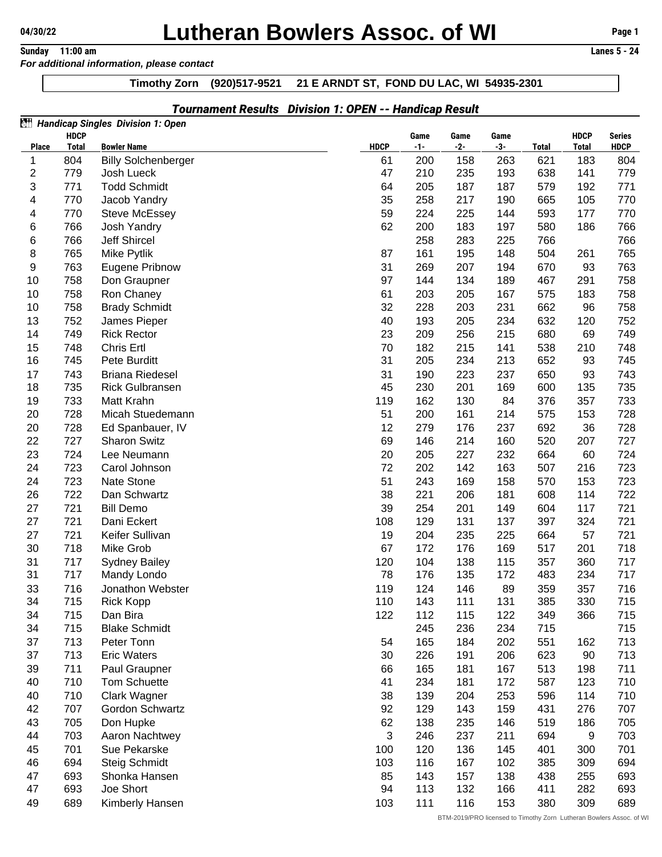**Timothy Zorn (920)517-9521 21 E ARNDT ST, FOND DU LAC, WI 54935-2301**

|              |              | Handicap Singles Division 1: Open        |             |            |            |            |              |              |               |
|--------------|--------------|------------------------------------------|-------------|------------|------------|------------|--------------|--------------|---------------|
|              | <b>HDCP</b>  |                                          |             | Game       | Game       | Game       |              | <b>HDCP</b>  | <b>Series</b> |
| <b>Place</b> | <b>Total</b> | <b>Bowler Name</b>                       | <b>HDCP</b> | $-1-$      | $-2-$      | -3-        | <b>Total</b> | <b>Total</b> | <b>HDCP</b>   |
| 1<br>2       | 804<br>779   | <b>Billy Solchenberger</b><br>Josh Lueck | 61<br>47    | 200<br>210 | 158<br>235 | 263<br>193 | 621<br>638   | 183<br>141   | 804<br>779    |
| 3            | 771          | <b>Todd Schmidt</b>                      | 64          | 205        | 187        | 187        | 579          | 192          | 771           |
| 4            | 770          | Jacob Yandry                             | 35          | 258        | 217        | 190        | 665          | 105          | 770           |
| 4            | 770          | <b>Steve McEssey</b>                     | 59          | 224        | 225        | 144        | 593          | 177          | 770           |
| 6            | 766          | Josh Yandry                              | 62          | 200        | 183        | 197        | 580          | 186          | 766           |
| 6            | 766          | <b>Jeff Shircel</b>                      |             | 258        | 283        | 225        | 766          |              | 766           |
| 8            | 765          | Mike Pytlik                              | 87          | 161        | 195        | 148        | 504          | 261          | 765           |
| 9            | 763          | Eugene Pribnow                           | 31          | 269        | 207        | 194        | 670          | 93           | 763           |
| 10           | 758          | Don Graupner                             | 97          | 144        | 134        | 189        | 467          | 291          | 758           |
| 10           | 758          | Ron Chaney                               | 61          | 203        | 205        | 167        | 575          | 183          | 758           |
| 10           | 758          | <b>Brady Schmidt</b>                     | 32          | 228        | 203        | 231        | 662          | 96           | 758           |
| 13           | 752          | James Pieper                             | 40          | 193        | 205        | 234        | 632          | 120          | 752           |
| 14           | 749          | <b>Rick Rector</b>                       | 23          | 209        | 256        | 215        | 680          | 69           | 749           |
| 15           | 748          | Chris Ertl                               | 70          | 182        | 215        | 141        | 538          | 210          | 748           |
| 16           | 745          | Pete Burditt                             | 31          | 205        | 234        | 213        | 652          | 93           | 745           |
| 17           | 743          | <b>Briana Riedesel</b>                   | 31          | 190        | 223        | 237        | 650          | 93           | 743           |
| 18           | 735          | <b>Rick Gulbransen</b>                   | 45          | 230        | 201        | 169        | 600          | 135          | 735           |
| 19           | 733          | Matt Krahn                               | 119         | 162        | 130        | 84         | 376          | 357          | 733           |
| 20           | 728          | Micah Stuedemann                         | 51          | 200        | 161        | 214        | 575          | 153          | 728           |
| 20           | 728          | Ed Spanbauer, IV                         | 12          | 279        | 176        | 237        | 692          | 36           | 728           |
| 22           | 727          | <b>Sharon Switz</b>                      | 69          | 146        | 214        | 160        | 520          | 207          | 727           |
| 23           | 724          | Lee Neumann                              | 20          | 205        | 227        | 232        | 664          | 60           | 724           |
| 24           | 723          | Carol Johnson                            | 72          | 202        | 142        | 163        | 507          | 216          | 723           |
| 24           | 723          | <b>Nate Stone</b>                        | 51          | 243        | 169        | 158        | 570          | 153          | 723           |
| 26           | 722          | Dan Schwartz                             | 38          | 221        | 206        | 181        | 608          | 114          | 722           |
| 27           | 721          | <b>Bill Demo</b>                         | 39          | 254        | 201        | 149        | 604          | 117          | 721           |
| 27           | 721          | Dani Eckert                              | 108         | 129        | 131        | 137        | 397          | 324          | 721           |
| 27           | 721          | Keifer Sullivan                          | 19          | 204        | 235        | 225        | 664          | 57           | 721           |
| 30           | 718          | Mike Grob                                | 67          | 172        | 176        | 169        | 517          | 201          | 718           |
| 31           | 717          | <b>Sydney Bailey</b>                     | 120         | 104        | 138        | 115        | 357          | 360          | 717           |
| 31           | 717          | Mandy Londo                              | 78          | 176        | 135        | 172        | 483          | 234          | 717           |
| 33           | 716          | Jonathon Webster                         | 119         | 124        | 146        | 89         | 359          | 357          | 716           |
| 34           | 715          | <b>Rick Kopp</b>                         | 110         | 143        | 111        | 131        | 385          | 330          | 715           |
| 34           | 715          | Dan Bira                                 | 122         | 112        | 115        | 122        | 349          | 366          | 715           |
| 34           | 715          | <b>Blake Schmidt</b>                     |             | 245        | 236        | 234        | 715          |              | 715           |
| 37           | 713          | Peter Tonn                               | 54          | 165        | 184        | 202        | 551          | 162          | 713           |
| 37           | 713          | <b>Eric Waters</b>                       | 30          | 226        | 191        | 206        | 623          | 90           | 713           |
| 39           | 711          | Paul Graupner                            | 66          | 165        | 181        | 167        | 513          | 198          | 711           |
| 40           | 710          | <b>Tom Schuette</b>                      | 41          | 234        | 181        | 172        | 587          | 123          | 710           |
| 40           | 710          | Clark Wagner                             | 38          | 139        | 204        | 253        | 596          | 114          | 710           |
| 42           | 707          | Gordon Schwartz                          | 92          | 129        | 143        | 159        | 431          | 276          | 707           |
| 43           | 705          | Don Hupke                                | 62          | 138        | 235        | 146        | 519          | 186          | 705           |
| 44           | 703          | Aaron Nachtwey                           | 3           | 246        | 237        | 211        | 694          | 9            | 703           |
| 45           | 701          | Sue Pekarske                             | 100         | 120        | 136        | 145        | 401          | 300          | 701           |
| 46           | 694          | <b>Steig Schmidt</b>                     | 103         | 116        | 167        | 102        | 385          | 309          | 694           |
| 47           | 693          | Shonka Hansen                            | 85          | 143        | 157        | 138        | 438          | 255          | 693           |
| 47           | 693          | Joe Short                                | 94          | 113        | 132        | 166        | 411          | 282          | 693           |
| 49           | 689          | Kimberly Hansen                          | 103         | 111        | 116        | 153        | 380          | 309          | 689           |
|              |              |                                          |             |            |            |            |              |              |               |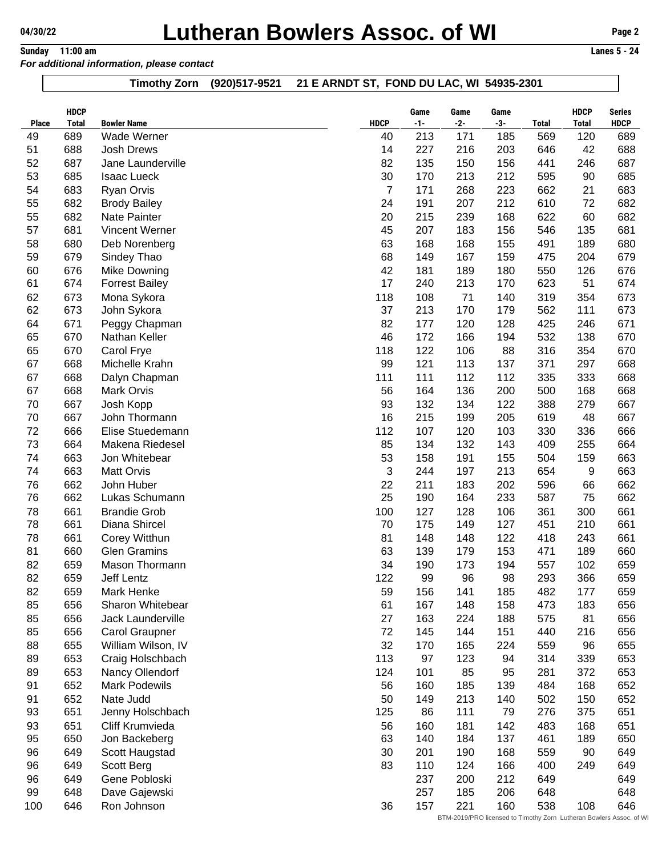*For additional information, please contact*

|              | <b>HDCP</b>  |                                            |                | Game       | Game       | Game       |              | <b>HDCP</b>  | <b>Series</b>                                                             |
|--------------|--------------|--------------------------------------------|----------------|------------|------------|------------|--------------|--------------|---------------------------------------------------------------------------|
| <b>Place</b> | <b>Total</b> | <b>Bowler Name</b>                         | <b>HDCP</b>    | $-1-$      | $-2-$      | $-3-$      | <b>Total</b> | <b>Total</b> | <b>HDCP</b>                                                               |
| 49           | 689          | <b>Wade Werner</b>                         | 40             | 213        | 171        | 185        | 569          | 120          | 689                                                                       |
| 51           | 688          | Josh Drews                                 | 14             | 227        | 216        | 203        | 646          | 42           | 688                                                                       |
| 52           | 687<br>685   | Jane Launderville                          | 82<br>30       | 135        | 150        | 156<br>212 | 441          | 246<br>90    | 687                                                                       |
| 53           |              | <b>Isaac Lueck</b>                         | $\overline{7}$ | 170        | 213        |            | 595          |              | 685                                                                       |
| 54<br>55     | 683<br>682   | <b>Ryan Orvis</b>                          | 24             | 171<br>191 | 268<br>207 | 223<br>212 | 662<br>610   | 21<br>72     | 683<br>682                                                                |
| 55           | 682          | <b>Brody Bailey</b><br><b>Nate Painter</b> | 20             | 215        | 239        | 168        | 622          | 60           | 682                                                                       |
| 57           | 681          | Vincent Werner                             | 45             | 207        | 183        | 156        | 546          | 135          | 681                                                                       |
| 58           | 680          |                                            | 63             | 168        | 168        | 155        | 491          | 189          | 680                                                                       |
| 59           | 679          | Deb Norenberg<br>Sindey Thao               | 68             | 149        | 167        | 159        | 475          | 204          | 679                                                                       |
| 60           | 676          | <b>Mike Downing</b>                        | 42             | 181        | 189        | 180        | 550          | 126          | 676                                                                       |
| 61           | 674          | <b>Forrest Bailey</b>                      | 17             | 240        | 213        | 170        | 623          | 51           | 674                                                                       |
| 62           | 673          |                                            | 118            | 108        | 71         | 140        | 319          | 354          | 673                                                                       |
| 62           | 673          | Mona Sykora<br>John Sykora                 | 37             | 213        | 170        | 179        | 562          | 111          | 673                                                                       |
| 64           | 671          |                                            | 82             | 177        |            |            | 425          |              |                                                                           |
| 65           | 670          | Peggy Chapman<br>Nathan Keller             | 46             | 172        | 120        | 128        | 532          | 246<br>138   | 671<br>670                                                                |
|              |              |                                            |                |            | 166        | 194        |              |              |                                                                           |
| 65<br>67     | 670<br>668   | Carol Frye                                 | 118<br>99      | 122<br>121 | 106<br>113 | 88<br>137  | 316<br>371   | 354<br>297   | 670<br>668                                                                |
|              |              | Michelle Krahn                             |                |            |            |            |              |              |                                                                           |
| 67<br>67     | 668          | Dalyn Chapman<br><b>Mark Orvis</b>         | 111<br>56      | 111        | 112        | 112        | 335          | 333          | 668                                                                       |
|              | 668          |                                            |                | 164        | 136        | 200        | 500          | 168          | 668                                                                       |
| 70           | 667          | Josh Kopp                                  | 93<br>16       | 132        | 134        | 122        | 388          | 279          | 667                                                                       |
| 70           | 667          | John Thormann                              |                | 215        | 199        | 205        | 619          | 48           | 667                                                                       |
| 72           | 666          | Elise Stuedemann                           | 112            | 107        | 120        | 103        | 330          | 336          | 666                                                                       |
| 73           | 664          | Makena Riedesel                            | 85             | 134        | 132        | 143        | 409          | 255          | 664                                                                       |
| 74           | 663          | Jon Whitebear                              | 53             | 158        | 191        | 155        | 504          | 159          | 663                                                                       |
| 74           | 663          | <b>Matt Orvis</b>                          | 3              | 244        | 197        | 213        | 654          | 9            | 663                                                                       |
| 76           | 662<br>662   | John Huber                                 | 22<br>25       | 211        | 183        | 202        | 596          | 66           | 662                                                                       |
| 76           |              | Lukas Schumann                             |                | 190        | 164        | 233        | 587          | 75           | 662                                                                       |
| 78           | 661          | <b>Brandie Grob</b>                        | 100            | 127        | 128        | 106        | 361          | 300          | 661                                                                       |
| 78           | 661          | Diana Shircel                              | 70             | 175        | 149        | 127        | 451          | 210          | 661                                                                       |
| 78           | 661          | Corey Witthun                              | 81             | 148        | 148        | 122        | 418          | 243          | 661                                                                       |
| 81           | 660          | <b>Glen Gramins</b>                        | 63             | 139        | 179        | 153        | 471          | 189          | 660                                                                       |
| 82           | 659          | Mason Thormann                             | 34             | 190        | 173        | 194        | 557          | 102          | 659                                                                       |
| 82           | 659          | Jeff Lentz                                 | 122            | 99         | 96         | 98         | 293          | 366          | 659                                                                       |
| 82           | 659          | Mark Henke                                 | 59             | 156        | 141        | 185        | 482          | 177          | 659                                                                       |
| 85           | 656          | Sharon Whitebear                           | 61             | 167        | 148        | 158        | 473          | 183          | 656                                                                       |
| 85           | 656          | Jack Launderville                          | 27             | 163        | 224        | 188        | 575          | 81           | 656                                                                       |
| 85           | 656          | Carol Graupner                             | 72             | 145        | 144        | 151        | 440          | 216          | 656                                                                       |
| 88           | 655          | William Wilson, IV                         | 32             | 170        | 165        | 224        | 559          | 96           | 655                                                                       |
| 89           | 653          | Craig Holschbach                           | 113            | 97         | 123        | 94         | 314          | 339          | 653                                                                       |
| 89           | 653          | Nancy Ollendorf                            | 124            | 101        | 85         | 95         | 281          | 372          | 653                                                                       |
| 91           | 652          | <b>Mark Podewils</b>                       | 56             | 160        | 185        | 139        | 484          | 168          | 652                                                                       |
| 91           | 652          | Nate Judd                                  | 50             | 149        | 213        | 140        | 502          | 150          | 652                                                                       |
| 93           | 651          | Jenny Holschbach                           | 125            | 86         | 111        | 79         | 276          | 375          | 651                                                                       |
| 93           | 651          | Cliff Krumvieda                            | 56             | 160        | 181        | 142        | 483          | 168          | 651                                                                       |
| 95           | 650          | Jon Backeberg                              | 63             | 140        | 184        | 137        | 461          | 189          | 650                                                                       |
| 96           | 649          | Scott Haugstad                             | 30             | 201        | 190        | 168        | 559          | 90           | 649                                                                       |
| 96           | 649          | Scott Berg                                 | 83             | 110        | 124        | 166        | 400          | 249          | 649                                                                       |
| 96           | 649          | Gene Pobloski                              |                | 237        | 200        | 212        | 649          |              | 649                                                                       |
| 99           | 648          | Dave Gajewski                              |                | 257        | 185        | 206        | 648          |              | 648                                                                       |
| 100          | 646          | Ron Johnson                                | 36             | 157        | 221        | 160        | 538          | 108          | 646<br>BTM-2019/PRO licensed to Timothy Zorn Lutheran Bowlers Assoc. of W |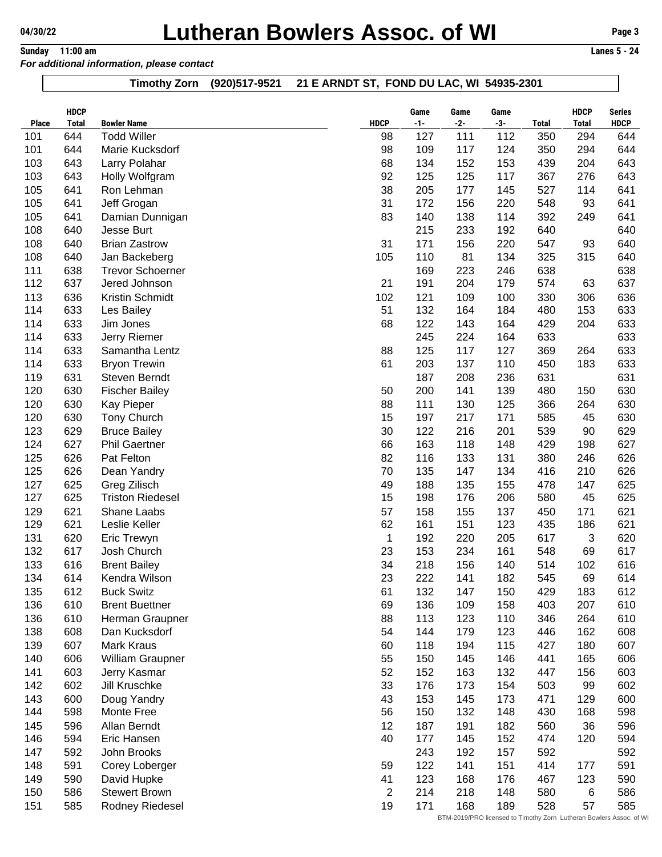*For additional information, please contact*

|              | <b>HDCP</b>  |                            |             | Game       | Game       | Game       |              | <b>HDCP</b>  | <b>Series</b>                                                      |
|--------------|--------------|----------------------------|-------------|------------|------------|------------|--------------|--------------|--------------------------------------------------------------------|
| <b>Place</b> | <b>Total</b> | <b>Bowler Name</b>         | <b>HDCP</b> | $-1-$      | $-2-$      | $-3-$      | <b>Total</b> | <b>Total</b> | <b>HDCP</b>                                                        |
| 101          | 644          | <b>Todd Willer</b>         | 98          | 127        | 111        | 112        | 350          | 294          | 644                                                                |
| 101          | 644          | Marie Kucksdorf            | 98          | 109        | 117        | 124        | 350          | 294          | 644                                                                |
| 103          | 643          | Larry Polahar              | 68          | 134        | 152        | 153        | 439          | 204          | 643                                                                |
| 103          | 643          | Holly Wolfgram             | 92          | 125        | 125        | 117        | 367          | 276          | 643                                                                |
| 105          | 641          | Ron Lehman                 | 38          | 205        | 177        | 145        | 527          | 114          | 641                                                                |
| 105          | 641          | Jeff Grogan                | 31          | 172        | 156        | 220        | 548          | 93           | 641                                                                |
| 105          | 641          | Damian Dunnigan            | 83          | 140        | 138        | 114        | 392          | 249          | 641                                                                |
| 108          | 640          | Jesse Burt                 |             | 215        | 233        | 192        | 640          |              | 640                                                                |
| 108          | 640          | <b>Brian Zastrow</b>       | 31          | 171        | 156        | 220        | 547          | 93           | 640                                                                |
| 108          | 640          | Jan Backeberg              | 105         | 110        | 81         | 134        | 325          | 315          | 640                                                                |
| 111          | 638          | <b>Trevor Schoerner</b>    |             | 169        | 223        | 246        | 638          |              | 638                                                                |
| 112          | 637          | Jered Johnson              | 21          | 191        | 204        | 179        | 574          | 63           | 637                                                                |
| 113          | 636          | Kristin Schmidt            | 102         | 121        | 109        | 100        | 330          | 306          | 636                                                                |
| 114          | 633          | Les Bailey                 | 51          | 132        | 164        | 184        | 480          | 153          | 633                                                                |
| 114          | 633          | Jim Jones                  | 68          | 122        | 143        | 164        | 429          | 204          | 633                                                                |
| 114          | 633          | Jerry Riemer               |             | 245        | 224        | 164        | 633          |              | 633                                                                |
| 114          | 633          | Samantha Lentz             | 88          | 125        | 117        | 127        | 369          | 264          | 633                                                                |
| 114          | 633          | <b>Bryon Trewin</b>        | 61          | 203        | 137        | 110        | 450          | 183          | 633                                                                |
| 119          | 631          | Steven Berndt              |             | 187        | 208        | 236        | 631          |              | 631                                                                |
| 120          | 630          | <b>Fischer Bailey</b>      | 50          | 200        | 141        | 139        | 480          | 150          | 630                                                                |
| 120          | 630          | Kay Pieper                 | 88          | 111        | 130        | 125        | 366          | 264          | 630                                                                |
| 120          | 630          | Tony Church                | 15          | 197        | 217        | 171        | 585          | 45           | 630                                                                |
| 123          | 629          | <b>Bruce Bailey</b>        | 30          | 122        | 216        | 201        | 539          | 90           | 629                                                                |
| 124          | 627          | <b>Phil Gaertner</b>       | 66          | 163        | 118        | 148        | 429          | 198          | 627                                                                |
| 125          | 626          | Pat Felton                 | 82          | 116        | 133        | 131        | 380          | 246          | 626                                                                |
| 125          | 626          | Dean Yandry                | 70          | 135        | 147        | 134        | 416          | 210          | 626                                                                |
| 127          | 625          | Greg Zilisch               | 49          | 188        | 135        | 155        | 478          | 147          | 625                                                                |
| 127          | 625          | <b>Triston Riedesel</b>    | 15          | 198        | 176        | 206        | 580          | 45           | 625                                                                |
| 129          | 621<br>621   | Shane Laabs                | 57          | 158<br>161 | 155        | 137        | 450          | 171          | 621                                                                |
| 129          |              | Leslie Keller              | 62          |            | 151        | 123        | 435          | 186          | 621                                                                |
| 131<br>132   | 620<br>617   | Eric Trewyn<br>Josh Church | 1<br>23     | 192<br>153 | 220<br>234 | 205<br>161 | 617<br>548   | 3<br>69      | 620<br>617                                                         |
| 133          | 616          | <b>Brent Bailey</b>        | 34          | 218        | 156        | 140        | 514          | 102          | 616                                                                |
| 134          | 614          | Kendra Wilson              | 23          | 222        | 141        | 182        | 545          | 69           | 614                                                                |
| 135          | 612          | <b>Buck Switz</b>          | 61          | 132        | 147        | 150        | 429          | 183          | 612                                                                |
| 136          | 610          | <b>Brent Buettner</b>      | 69          | 136        | 109        | 158        | 403          | 207          | 610                                                                |
| 136          | 610          | Herman Graupner            | 88          | 113        | 123        | 110        | 346          | 264          | 610                                                                |
| 138          | 608          | Dan Kucksdorf              | 54          | 144        | 179        | 123        | 446          | 162          | 608                                                                |
| 139          | 607          | Mark Kraus                 | 60          | 118        | 194        | 115        | 427          | 180          | 607                                                                |
| 140          | 606          | William Graupner           | 55          | 150        | 145        | 146        | 441          | 165          | 606                                                                |
| 141          | 603          | Jerry Kasmar               | 52          | 152        | 163        | 132        | 447          | 156          | 603                                                                |
| 142          | 602          | Jill Kruschke              | 33          | 176        | 173        | 154        | 503          | 99           | 602                                                                |
| 143          | 600          | Doug Yandry                | 43          | 153        | 145        | 173        | 471          | 129          | 600                                                                |
| 144          | 598          | Monte Free                 | 56          | 150        | 132        | 148        | 430          | 168          | 598                                                                |
| 145          | 596          | Allan Berndt               | 12          | 187        | 191        | 182        | 560          | 36           | 596                                                                |
| 146          | 594          | Eric Hansen                | 40          | 177        | 145        | 152        | 474          | 120          | 594                                                                |
| 147          | 592          | John Brooks                |             | 243        | 192        | 157        | 592          |              | 592                                                                |
| 148          | 591          | Corey Loberger             | 59          | 122        | 141        | 151        | 414          | 177          | 591                                                                |
| 149          | 590          | David Hupke                | 41          | 123        | 168        | 176        | 467          | 123          | 590                                                                |
| 150          | 586          | <b>Stewert Brown</b>       | 2           | 214        | 218        | 148        | 580          | $\,6$        | 586                                                                |
| 151          | 585          | Rodney Riedesel            | 19          | 171        | 168        | 189        | 528          | 57           | 585                                                                |
|              |              |                            |             |            |            |            |              |              | BTM-2019/PRO licensed to Timothy Zorn Lutheran Bowlers Assoc. of W |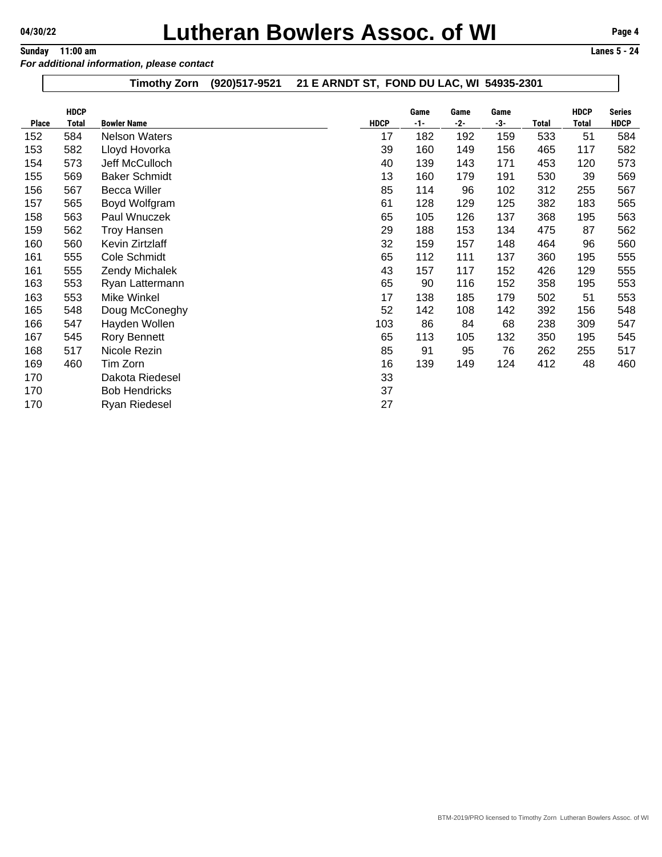|              | <b>HDCP</b>  |                      |             | Game  | Game  | Game  |              | <b>HDCP</b>  | <b>Series</b> |
|--------------|--------------|----------------------|-------------|-------|-------|-------|--------------|--------------|---------------|
| <b>Place</b> | <b>Total</b> | <b>Bowler Name</b>   | <b>HDCP</b> | $-1-$ | $-2-$ | $-3-$ | <b>Total</b> | <b>Total</b> | <b>HDCP</b>   |
| 152          | 584          | <b>Nelson Waters</b> | 17          | 182   | 192   | 159   | 533          | 51           | 584           |
| 153          | 582          | Lloyd Hovorka        | 39          | 160   | 149   | 156   | 465          | 117          | 582           |
| 154          | 573          | Jeff McCulloch       | 40          | 139   | 143   | 171   | 453          | 120          | 573           |
| 155          | 569          | <b>Baker Schmidt</b> | 13          | 160   | 179   | 191   | 530          | 39           | 569           |
| 156          | 567          | <b>Becca Willer</b>  | 85          | 114   | 96    | 102   | 312          | 255          | 567           |
| 157          | 565          | Boyd Wolfgram        | 61          | 128   | 129   | 125   | 382          | 183          | 565           |
| 158          | 563          | Paul Wnuczek         | 65          | 105   | 126   | 137   | 368          | 195          | 563           |
| 159          | 562          | Troy Hansen          | 29          | 188   | 153   | 134   | 475          | 87           | 562           |
| 160          | 560          | Kevin Zirtzlaff      | 32          | 159   | 157   | 148   | 464          | 96           | 560           |
| 161          | 555          | Cole Schmidt         | 65          | 112   | 111   | 137   | 360          | 195          | 555           |
| 161          | 555          | Zendy Michalek       | 43          | 157   | 117   | 152   | 426          | 129          | 555           |
| 163          | 553          | Ryan Lattermann      | 65          | 90    | 116   | 152   | 358          | 195          | 553           |
| 163          | 553          | Mike Winkel          | 17          | 138   | 185   | 179   | 502          | 51           | 553           |
| 165          | 548          | Doug McConeghy       | 52          | 142   | 108   | 142   | 392          | 156          | 548           |
| 166          | 547          | Hayden Wollen        | 103         | 86    | 84    | 68    | 238          | 309          | 547           |
| 167          | 545          | <b>Rory Bennett</b>  | 65          | 113   | 105   | 132   | 350          | 195          | 545           |
| 168          | 517          | Nicole Rezin         | 85          | 91    | 95    | 76    | 262          | 255          | 517           |
| 169          | 460          | Tim Zorn             | 16          | 139   | 149   | 124   | 412          | 48           | 460           |
| 170          |              | Dakota Riedesel      | 33          |       |       |       |              |              |               |
| 170          |              | <b>Bob Hendricks</b> | 37          |       |       |       |              |              |               |
| 170          |              | Ryan Riedesel        | 27          |       |       |       |              |              |               |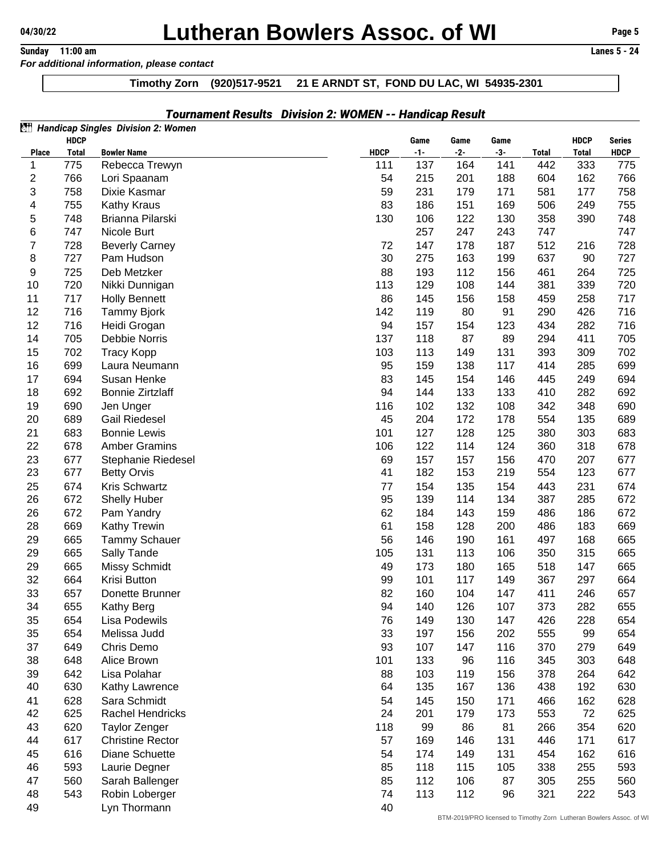# **Lutheran Bowlers Assoc. of WI** Page 5<br> **Sunday** 11:00 am<br> **Lanes 5 - 24**

*For additional information, please contact*

## **Timothy Zorn (920)517-9521 21 E ARNDT ST, FOND DU LAC, WI 54935-2301**

| Place | <b>HDCP</b><br><b>Total</b> | <b>Bowler Name</b>      | <b>HDCP</b> | Game<br>$-1-$ | Game<br>$-2-$ | Game<br>$-3-$ | <b>Total</b> | <b>HDCP</b><br><b>Total</b> | <b>Series</b><br><b>HDCP</b> |
|-------|-----------------------------|-------------------------|-------------|---------------|---------------|---------------|--------------|-----------------------------|------------------------------|
| 1     | 775                         | Rebecca Trewyn          | 111         | 137           | 164           | 141           | 442          | 333                         | 775                          |
| 2     | 766                         | Lori Spaanam            | 54          | 215           | 201           | 188           | 604          | 162                         | 766                          |
| 3     | 758                         | Dixie Kasmar            | 59          | 231           | 179           | 171           | 581          | 177                         | 758                          |
| 4     | 755                         | Kathy Kraus             | 83          | 186           | 151           | 169           | 506          | 249                         | 755                          |
| 5     | 748                         | Brianna Pilarski        | 130         | 106           | 122           | 130           | 358          | 390                         | 748                          |
| 6     | 747                         | Nicole Burt             |             | 257           | 247           | 243           | 747          |                             | 747                          |
| 7     | 728                         | <b>Beverly Carney</b>   | 72          | 147           | 178           | 187           | 512          | 216                         | 728                          |
| 8     | 727                         | Pam Hudson              | 30          | 275           | 163           | 199           | 637          | 90                          | 727                          |
| 9     | 725                         | Deb Metzker             | 88          | 193           | 112           | 156           | 461          | 264                         | 725                          |
| 10    | 720                         | Nikki Dunnigan          | 113         | 129           | 108           | 144           | 381          | 339                         | 720                          |
| 11    | 717                         | <b>Holly Bennett</b>    | 86          | 145           | 156           | 158           | 459          | 258                         | 717                          |
| 12    | 716                         | <b>Tammy Bjork</b>      | 142         | 119           | 80            | 91            | 290          | 426                         | 716                          |
| 12    | 716                         | Heidi Grogan            | 94          | 157           | 154           | 123           | 434          | 282                         | 716                          |
| 14    | 705                         | Debbie Norris           | 137         | 118           | 87            | 89            | 294          | 411                         | 705                          |
| 15    | 702                         | <b>Tracy Kopp</b>       | 103         | 113           | 149           | 131           | 393          | 309                         | 702                          |
| 16    | 699                         | Laura Neumann           | 95          | 159           | 138           | 117           | 414          | 285                         | 699                          |
| 17    | 694                         | Susan Henke             | 83          | 145           | 154           | 146           | 445          | 249                         | 694                          |
| 18    | 692                         | <b>Bonnie Zirtzlaff</b> | 94          | 144           | 133           | 133           | 410          | 282                         | 692                          |
| 19    | 690                         | Jen Unger               | 116         | 102           | 132           | 108           | 342          | 348                         | 690                          |
| 20    | 689                         | <b>Gail Riedesel</b>    | 45          | 204           | 172           | 178           | 554          | 135                         | 689                          |
| 21    | 683                         | <b>Bonnie Lewis</b>     | 101         | 127           | 128           | 125           | 380          | 303                         | 683                          |
| 22    | 678                         | <b>Amber Gramins</b>    | 106         | 122           | 114           | 124           | 360          | 318                         | 678                          |
| 23    | 677                         | Stephanie Riedesel      | 69          | 157           | 157           | 156           | 470          | 207                         | 677                          |
| 23    | 677                         | <b>Betty Orvis</b>      | 41          | 182           | 153           | 219           | 554          | 123                         | 677                          |
| 25    | 674                         | Kris Schwartz           | 77          | 154           | 135           | 154           | 443          | 231                         | 674                          |
| 26    | 672                         | <b>Shelly Huber</b>     | 95          | 139           | 114           | 134           | 387          | 285                         | 672                          |
| 26    | 672                         | Pam Yandry              | 62          | 184           | 143           | 159           | 486          | 186                         | 672                          |
| 28    | 669                         | Kathy Trewin            | 61          | 158           | 128           | 200           | 486          | 183                         | 669                          |
| 29    | 665                         | <b>Tammy Schauer</b>    | 56          | 146           | 190           | 161           | 497          | 168                         | 665                          |
| 29    | 665                         | Sally Tande             | 105         | 131           | 113           | 106           | 350          | 315                         | 665                          |
| 29    | 665                         | Missy Schmidt           | 49          | 173           | 180           | 165           | 518          | 147                         | 665                          |
| 32    | 664                         | Krisi Button            | 99          | 101           | 117           | 149           | 367          | 297                         | 664                          |
| 33    | 657                         | Donette Brunner         | 82          | 160           | 104           | 147           | 411          | 246                         | 657                          |
| 34    | 655                         | Kathy Berg              | 94          | 140           | 126           | 107           | 373          | 282                         | 655                          |
| 35    | 654                         | Lisa Podewils           | 76          | 149           | 130           | 147           | 426          | 228                         | 654                          |
| 35    | 654                         | Melissa Judd            | 33          | 197           | 156           | 202           | 555          | 99                          | 654                          |
| 37    | 649                         | Chris Demo              | 93          | 107           | 147           | 116           | 370          | 279                         | 649                          |
| 38    | 648                         | Alice Brown             | 101         | 133           | 96            | 116           | 345          | 303                         | 648                          |
| 39    | 642                         | Lisa Polahar            | 88          | 103           | 119           | 156           | 378          | 264                         | 642                          |
| 40    | 630                         | Kathy Lawrence          | 64          | 135           | 167           | 136           | 438          | 192                         | 630                          |
| 41    | 628                         | Sara Schmidt            | 54          | 145           | 150           | 171           | 466          | 162                         | 628                          |
| 42    | 625                         | Rachel Hendricks        | 24          | 201           | 179           | 173           | 553          | 72                          | 625                          |
| 43    | 620                         | <b>Taylor Zenger</b>    | 118         | 99            | 86            | 81            | 266          | 354                         | 620                          |
| 44    | 617                         | <b>Christine Rector</b> | 57          | 169           | 146           | 131           | 446          | 171                         | 617                          |
| 45    | 616                         | Diane Schuette          | 54          | 174           | 149           | 131           | 454          | 162                         | 616                          |
| 46    | 593                         | Laurie Degner           | 85          | 118           | 115           | 105           | 338          | 255                         | 593                          |
| 47    | 560                         | Sarah Ballenger         | 85          | 112           | 106           | 87            | 305          | 255                         | 560                          |
| 48    | 543                         | Robin Loberger          | 74          | 113           | 112           | 96            | 321          | 222                         | 543                          |
| 49    |                             | Lyn Thormann            | 40          |               |               |               |              |                             |                              |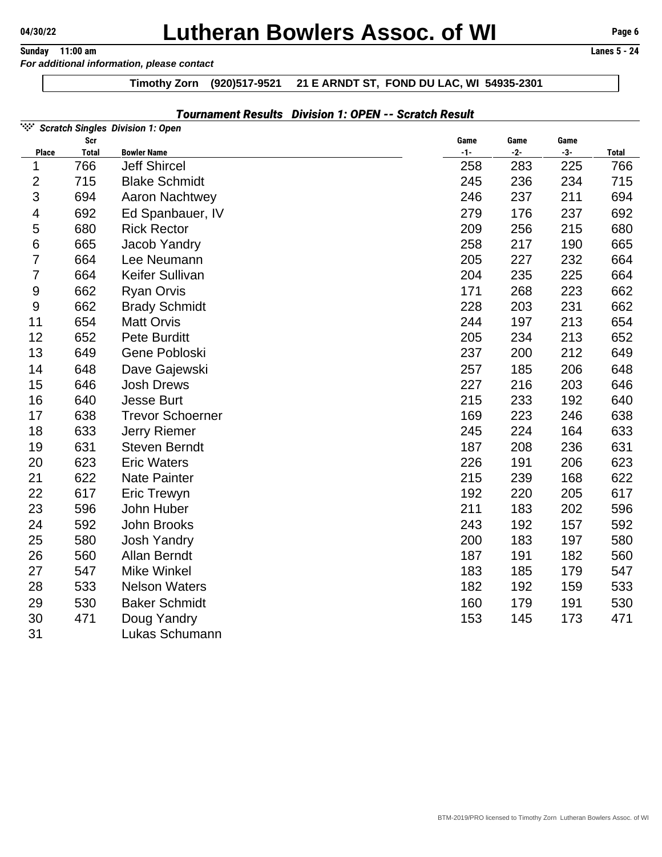# **Lutheran Bowlers Assoc. of WI** Page 6<br> **Sunday** 11:00 am<br> **Lanes 5 - 24**

**Sunday** 11:00 am *For additional information, please contact*

## **Timothy Zorn (920)517-9521 21 E ARNDT ST, FOND DU LAC, WI 54935-2301**

## *Tournament Results Division 1: OPEN -- Scratch Result*

| NG 1             | Scr          | <b>Scratch Singles Division 1: Open</b> |               |               |               |              |
|------------------|--------------|-----------------------------------------|---------------|---------------|---------------|--------------|
| <b>Place</b>     | <b>Total</b> | <b>Bowler Name</b>                      | Game<br>$-1-$ | Game<br>$-2-$ | Game<br>$-3-$ | <b>Total</b> |
| 1                | 766          | <b>Jeff Shircel</b>                     | 258           | 283           | 225           | 766          |
| $\mathbf{2}$     | 715          | <b>Blake Schmidt</b>                    | 245           | 236           | 234           | 715          |
| 3                | 694          | <b>Aaron Nachtwey</b>                   | 246           | 237           | 211           | 694          |
| 4                | 692          | Ed Spanbauer, IV                        | 279           | 176           | 237           | 692          |
| 5                | 680          | <b>Rick Rector</b>                      | 209           | 256           | 215           | 680          |
| 6                | 665          | <b>Jacob Yandry</b>                     | 258           | 217           | 190           | 665          |
| $\overline{7}$   | 664          | Lee Neumann                             | 205           | 227           | 232           | 664          |
| $\overline{7}$   | 664          | Keifer Sullivan                         | 204           | 235           | 225           | 664          |
| $\boldsymbol{9}$ | 662          | <b>Ryan Orvis</b>                       | 171           | 268           | 223           | 662          |
| $\boldsymbol{9}$ | 662          | <b>Brady Schmidt</b>                    | 228           | 203           | 231           | 662          |
| 11               | 654          | <b>Matt Orvis</b>                       | 244           | 197           | 213           | 654          |
| 12               | 652          | Pete Burditt                            | 205           | 234           | 213           | 652          |
| 13               | 649          | Gene Pobloski                           | 237           | 200           | 212           | 649          |
| 14               | 648          | Dave Gajewski                           | 257           | 185           | 206           | 648          |
| 15               | 646          | <b>Josh Drews</b>                       | 227           | 216           | 203           | 646          |
| 16               | 640          | <b>Jesse Burt</b>                       | 215           | 233           | 192           | 640          |
| 17               | 638          | <b>Trevor Schoerner</b>                 | 169           | 223           | 246           | 638          |
| 18               | 633          | <b>Jerry Riemer</b>                     | 245           | 224           | 164           | 633          |
| 19               | 631          | <b>Steven Berndt</b>                    | 187           | 208           | 236           | 631          |
| 20               | 623          | <b>Eric Waters</b>                      | 226           | 191           | 206           | 623          |
| 21               | 622          | <b>Nate Painter</b>                     | 215           | 239           | 168           | 622          |
| 22               | 617          | <b>Eric Trewyn</b>                      | 192           | 220           | 205           | 617          |
| 23               | 596          | John Huber                              | 211           | 183           | 202           | 596          |
| 24               | 592          | John Brooks                             | 243           | 192           | 157           | 592          |
| 25               | 580          | <b>Josh Yandry</b>                      | 200           | 183           | 197           | 580          |
| 26               | 560          | <b>Allan Berndt</b>                     | 187           | 191           | 182           | 560          |
| 27               | 547          | <b>Mike Winkel</b>                      | 183           | 185           | 179           | 547          |
| 28               | 533          | <b>Nelson Waters</b>                    | 182           | 192           | 159           | 533          |
| 29               | 530          | <b>Baker Schmidt</b>                    | 160           | 179           | 191           | 530          |
| 30               | 471          | Doug Yandry                             | 153           | 145           | 173           | 471          |
| 31               |              | Lukas Schumann                          |               |               |               |              |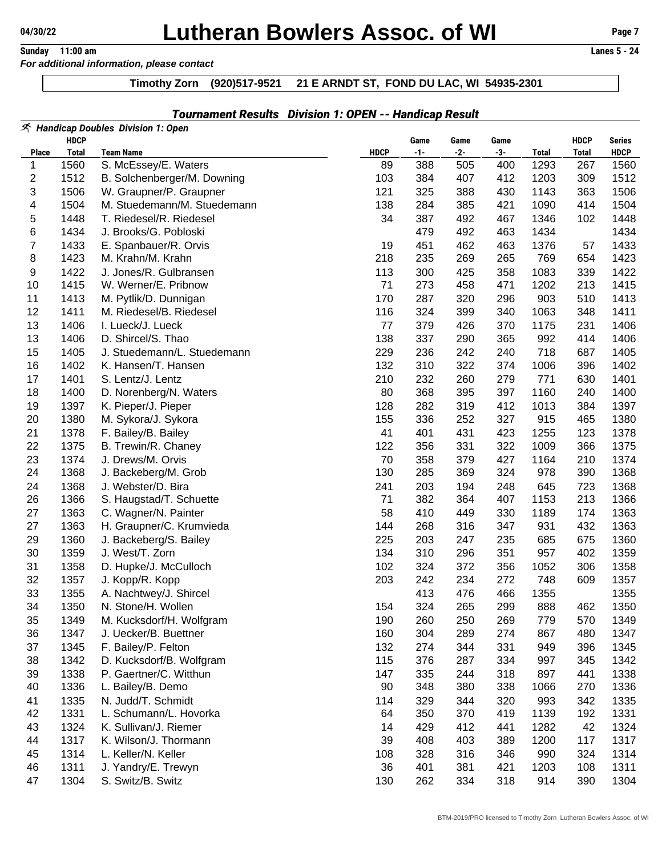### **Timothy Zorn (920)517-9521 21 E ARNDT ST, FOND DU LAC, WI 54935-2301**

|                         |                             | 조 Handicap Doubles Division 1: Open |             |               |               |             |              |                             |                       |
|-------------------------|-----------------------------|-------------------------------------|-------------|---------------|---------------|-------------|--------------|-----------------------------|-----------------------|
| <b>Place</b>            | <b>HDCP</b><br><b>Total</b> | <b>Team Name</b>                    | <b>HDCP</b> | Game<br>$-1-$ | Game<br>$-2-$ | Game<br>-3- | <b>Total</b> | <b>HDCP</b><br><b>Total</b> | Series<br><b>HDCP</b> |
| 1                       | 1560                        | S. McEssey/E. Waters                | 89          | 388           | 505           | 400         | 1293         | 267                         | 1560                  |
| $\overline{\mathbf{c}}$ | 1512                        | B. Solchenberger/M. Downing         | 103         | 384           | 407           | 412         | 1203         | 309                         | 1512                  |
| 3                       | 1506                        | W. Graupner/P. Graupner             | 121         | 325           | 388           | 430         | 1143         | 363                         | 1506                  |
| 4                       | 1504                        | M. Stuedemann/M. Stuedemann         | 138         | 284           | 385           | 421         | 1090         | 414                         | 1504                  |
| 5                       | 1448                        | T. Riedesel/R. Riedesel             | 34          | 387           | 492           | 467         | 1346         | 102                         | 1448                  |
| 6                       | 1434                        | J. Brooks/G. Pobloski               |             | 479           | 492           | 463         | 1434         |                             | 1434                  |
| $\overline{7}$          | 1433                        | E. Spanbauer/R. Orvis               | 19          | 451           | 462           | 463         | 1376         | 57                          | 1433                  |
| 8                       | 1423                        | M. Krahn/M. Krahn                   | 218         | 235           | 269           | 265         | 769          | 654                         | 1423                  |
| 9                       | 1422                        | J. Jones/R. Gulbransen              | 113         | 300           | 425           | 358         | 1083         | 339                         | 1422                  |
| 10                      | 1415                        | W. Werner/E. Pribnow                | 71          | 273           | 458           | 471         | 1202         | 213                         | 1415                  |
| 11                      | 1413                        | M. Pytlik/D. Dunnigan               | 170         | 287           | 320           | 296         | 903          | 510                         | 1413                  |
| 12                      | 1411                        | M. Riedesel/B. Riedesel             | 116         | 324           | 399           | 340         | 1063         | 348                         | 1411                  |
| 13                      | 1406                        | I. Lueck/J. Lueck                   | 77          | 379           | 426           | 370         | 1175         | 231                         | 1406                  |
| 13                      | 1406                        | D. Shircel/S. Thao                  | 138         | 337           | 290           | 365         | 992          | 414                         | 1406                  |
| 15                      | 1405                        | J. Stuedemann/L. Stuedemann         | 229         | 236           | 242           | 240         | 718          | 687                         | 1405                  |
| 16                      | 1402                        | K. Hansen/T. Hansen                 | 132         | 310           | 322           | 374         | 1006         | 396                         | 1402                  |
| 17                      | 1401                        | S. Lentz/J. Lentz                   | 210         | 232           | 260           | 279         | 771          | 630                         | 1401                  |
| 18                      | 1400                        | D. Norenberg/N. Waters              | 80          | 368           | 395           | 397         | 1160         | 240                         | 1400                  |
| 19                      | 1397                        | K. Pieper/J. Pieper                 | 128         | 282           | 319           | 412         | 1013         | 384                         | 1397                  |
| 20                      | 1380                        | M. Sykora/J. Sykora                 | 155         | 336           | 252           | 327         | 915          | 465                         | 1380                  |
| 21                      | 1378                        | F. Bailey/B. Bailey                 | 41          | 401           | 431           | 423         | 1255         | 123                         | 1378                  |
| 22                      | 1375                        | B. Trewin/R. Chaney                 | 122         | 356           | 331           | 322         | 1009         | 366                         | 1375                  |
| 23                      | 1374                        | J. Drews/M. Orvis                   | 70          | 358           | 379           | 427         | 1164         | 210                         | 1374                  |
| 24                      | 1368                        | J. Backeberg/M. Grob                | 130         | 285           | 369           | 324         | 978          | 390                         | 1368                  |
| 24                      | 1368                        | J. Webster/D. Bira                  | 241         | 203           | 194           | 248         | 645          | 723                         | 1368                  |
| 26                      | 1366                        | S. Haugstad/T. Schuette             | 71          | 382           | 364           | 407         | 1153         | 213                         | 1366                  |
| 27                      | 1363                        | C. Wagner/N. Painter                | 58          | 410           | 449           | 330         | 1189         | 174                         | 1363                  |
| 27                      | 1363                        | H. Graupner/C. Krumvieda            | 144         | 268           | 316           | 347         | 931          | 432                         | 1363                  |
| 29                      | 1360                        | J. Backeberg/S. Bailey              | 225         | 203           | 247           | 235         | 685          | 675                         | 1360                  |
| 30                      | 1359                        | J. West/T. Zorn                     | 134         | 310           | 296           | 351         | 957          | 402                         | 1359                  |
| 31                      | 1358                        | D. Hupke/J. McCulloch               | 102         | 324           | 372           | 356         | 1052         | 306                         | 1358                  |
| 32                      | 1357                        | J. Kopp/R. Kopp                     | 203         | 242           | 234           | 272         | 748          | 609                         | 1357                  |
| 33                      | 1355                        | A. Nachtwey/J. Shircel              |             | 413           | 476           | 466         | 1355         |                             | 1355                  |
| 34                      | 1350                        | N. Stone/H. Wollen                  | 154         | 324           | 265           | 299         | 888          | 462                         | 1350                  |
| 35                      | 1349                        | M. Kucksdorf/H. Wolfgram            | 190         | 260           | 250           | 269         | 779          | 570                         | 1349                  |
| 36                      | 1347                        | J. Uecker/B. Buettner               | 160         | 304           | 289           | 274         | 867          | 480                         | 1347                  |
| 37                      | 1345                        | F. Bailey/P. Felton                 | 132         | 274           | 344           | 331         | 949          | 396                         | 1345                  |
| 38                      | 1342                        | D. Kucksdorf/B. Wolfgram            | 115         | 376           | 287           | 334         | 997          | 345                         | 1342                  |
| 39                      | 1338                        | P. Gaertner/C. Witthun              | 147         | 335           | 244           | 318         | 897          | 441                         | 1338                  |
| 40                      | 1336                        | L. Bailey/B. Demo                   | 90          | 348           | 380           | 338         | 1066         | 270                         | 1336                  |
| 41                      | 1335                        | N. Judd/T. Schmidt                  | 114         | 329           | 344           | 320         | 993          | 342                         | 1335                  |
| 42                      | 1331                        | L. Schumann/L. Hovorka              | 64          | 350           | 370           | 419         | 1139         | 192                         | 1331                  |
| 43                      | 1324                        | K. Sullivan/J. Riemer               | 14          | 429           | 412           | 441         | 1282         | 42                          |                       |
| 44                      | 1317                        | K. Wilson/J. Thormann               | 39          | 408           | 403           | 389         | 1200         | 117                         | 1324<br>1317          |
| 45                      | 1314                        | L. Keller/N. Keller                 |             |               |               |             |              | 324                         | 1314                  |
| 46                      | 1311                        |                                     | 108<br>36   | 328<br>401    | 316<br>381    | 346<br>421  | 990<br>1203  | 108                         |                       |
|                         |                             | J. Yandry/E. Trewyn                 |             |               |               |             |              |                             | 1311                  |
| 47                      | 1304                        | S. Switz/B. Switz                   | 130         | 262           | 334           | 318         | 914          | 390                         | 1304                  |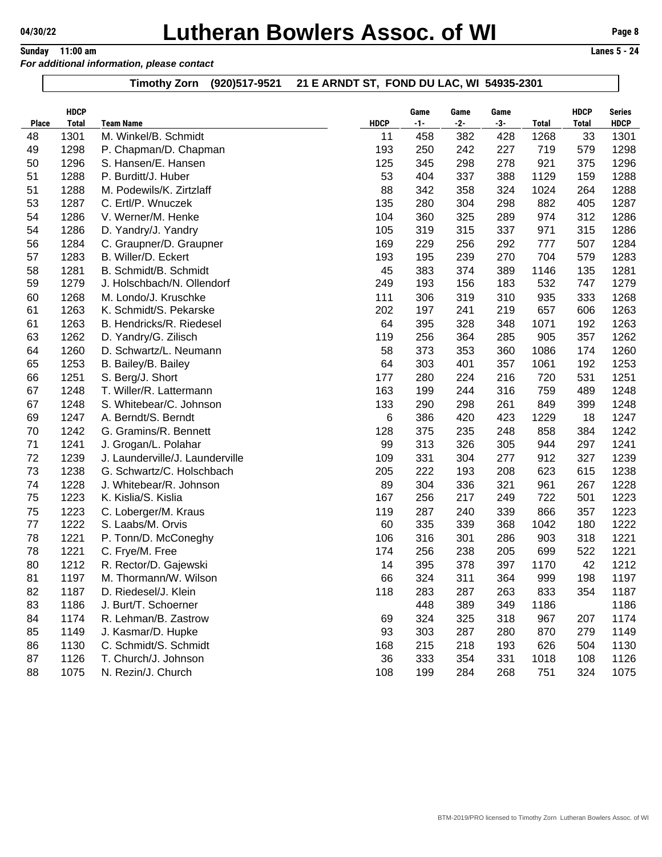### *For additional information, please contact*

|              | <b>HDCP</b>  |                                 |             | Game  | Game  | Game  |              | <b>HDCP</b>  | Series      |
|--------------|--------------|---------------------------------|-------------|-------|-------|-------|--------------|--------------|-------------|
| <b>Place</b> | <b>Total</b> | <b>Team Name</b>                | <b>HDCP</b> | $-1-$ | $-2-$ | $-3-$ | <b>Total</b> | <b>Total</b> | <b>HDCP</b> |
| 48           | 1301         | M. Winkel/B. Schmidt            | 11          | 458   | 382   | 428   | 1268         | 33           | 1301        |
| 49           | 1298         | P. Chapman/D. Chapman           | 193         | 250   | 242   | 227   | 719          | 579          | 1298        |
| 50           | 1296         | S. Hansen/E. Hansen             | 125         | 345   | 298   | 278   | 921          | 375          | 1296        |
| 51           | 1288         | P. Burditt/J. Huber             | 53          | 404   | 337   | 388   | 1129         | 159          | 1288        |
| 51           | 1288         | M. Podewils/K. Zirtzlaff        | 88          | 342   | 358   | 324   | 1024         | 264          | 1288        |
| 53           | 1287         | C. Ertl/P. Wnuczek              | 135         | 280   | 304   | 298   | 882          | 405          | 1287        |
| 54           | 1286         | V. Werner/M. Henke              | 104         | 360   | 325   | 289   | 974          | 312          | 1286        |
| 54           | 1286         | D. Yandry/J. Yandry             | 105         | 319   | 315   | 337   | 971          | 315          | 1286        |
| 56           | 1284         | C. Graupner/D. Graupner         | 169         | 229   | 256   | 292   | 777          | 507          | 1284        |
| 57           | 1283         | B. Willer/D. Eckert             | 193         | 195   | 239   | 270   | 704          | 579          | 1283        |
| 58           | 1281         | B. Schmidt/B. Schmidt           | 45          | 383   | 374   | 389   | 1146         | 135          | 1281        |
| 59           | 1279         | J. Holschbach/N. Ollendorf      | 249         | 193   | 156   | 183   | 532          | 747          | 1279        |
| 60           | 1268         | M. Londo/J. Kruschke            | 111         | 306   | 319   | 310   | 935          | 333          | 1268        |
| 61           | 1263         | K. Schmidt/S. Pekarske          | 202         | 197   | 241   | 219   | 657          | 606          | 1263        |
| 61           | 1263         | B. Hendricks/R. Riedesel        | 64          | 395   | 328   | 348   | 1071         | 192          | 1263        |
| 63           | 1262         | D. Yandry/G. Zilisch            | 119         | 256   | 364   | 285   | 905          | 357          | 1262        |
| 64           | 1260         | D. Schwartz/L. Neumann          | 58          | 373   | 353   | 360   | 1086         | 174          | 1260        |
| 65           | 1253         | B. Bailey/B. Bailey             | 64          | 303   | 401   | 357   | 1061         | 192          | 1253        |
| 66           | 1251         | S. Berg/J. Short                | 177         | 280   | 224   | 216   | 720          | 531          | 1251        |
| 67           | 1248         | T. Willer/R. Lattermann         | 163         | 199   | 244   | 316   | 759          | 489          | 1248        |
| 67           | 1248         | S. Whitebear/C. Johnson         | 133         | 290   | 298   | 261   | 849          | 399          | 1248        |
| 69           | 1247         | A. Berndt/S. Berndt             | 6           | 386   | 420   | 423   | 1229         | 18           | 1247        |
| 70           | 1242         | G. Gramins/R. Bennett           | 128         | 375   | 235   | 248   | 858          | 384          | 1242        |
| 71           | 1241         | J. Grogan/L. Polahar            | 99          | 313   | 326   | 305   | 944          | 297          | 1241        |
| 72           | 1239         | J. Launderville/J. Launderville | 109         | 331   | 304   | 277   | 912          | 327          | 1239        |
| 73           | 1238         | G. Schwartz/C. Holschbach       | 205         | 222   | 193   | 208   | 623          | 615          | 1238        |
| 74           | 1228         | J. Whitebear/R. Johnson         | 89          | 304   | 336   | 321   | 961          | 267          | 1228        |
| 75           | 1223         | K. Kislia/S. Kislia             | 167         | 256   | 217   | 249   | 722          | 501          | 1223        |
| 75           | 1223         | C. Loberger/M. Kraus            | 119         | 287   | 240   | 339   | 866          | 357          | 1223        |
| 77           | 1222         | S. Laabs/M. Orvis               | 60          | 335   | 339   | 368   | 1042         | 180          | 1222        |
| 78           | 1221         | P. Tonn/D. McConeghy            | 106         | 316   | 301   | 286   | 903          | 318          | 1221        |
| 78           | 1221         | C. Frye/M. Free                 | 174         | 256   | 238   | 205   | 699          | 522          | 1221        |
| 80           | 1212         | R. Rector/D. Gajewski           | 14          | 395   | 378   | 397   | 1170         | 42           | 1212        |
| 81           | 1197         | M. Thormann/W. Wilson           | 66          | 324   | 311   | 364   | 999          | 198          | 1197        |
| 82           | 1187         | D. Riedesel/J. Klein            | 118         | 283   | 287   | 263   | 833          | 354          | 1187        |
| 83           | 1186         | J. Burt/T. Schoerner            |             | 448   | 389   | 349   | 1186         |              | 1186        |
| 84           | 1174         | R. Lehman/B. Zastrow            | 69          | 324   | 325   | 318   | 967          | 207          | 1174        |
| 85           | 1149         | J. Kasmar/D. Hupke              | 93          | 303   | 287   | 280   | 870          | 279          | 1149        |
| 86           | 1130         | C. Schmidt/S. Schmidt           | 168         | 215   | 218   | 193   | 626          | 504          | 1130        |
| 87           | 1126         | T. Church/J. Johnson            | 36          | 333   | 354   | 331   | 1018         | 108          | 1126        |
| 88           | 1075         | N. Rezin/J. Church              | 108         | 199   | 284   | 268   | 751          | 324          | 1075        |
|              |              |                                 |             |       |       |       |              |              |             |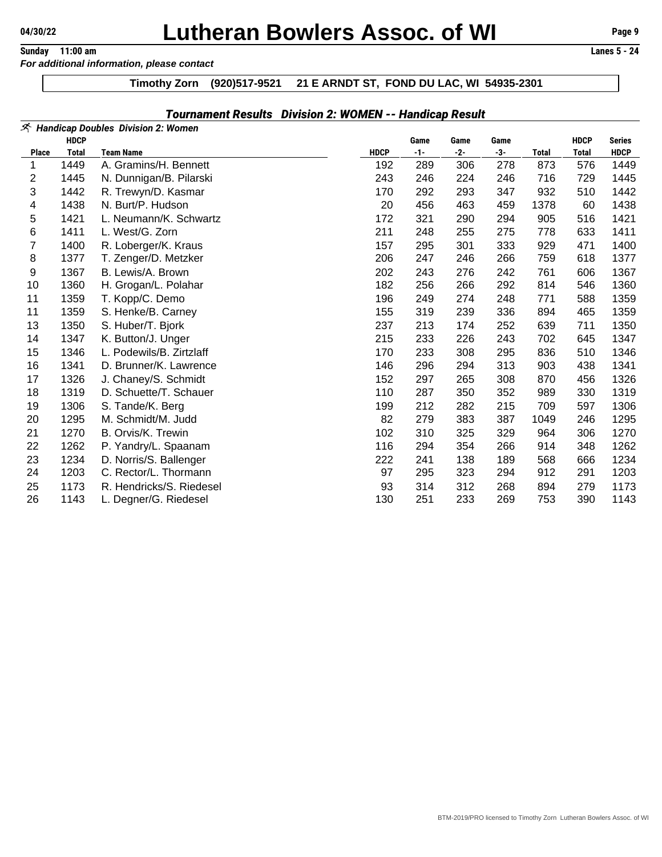# **Lutheran Bowlers Assoc. of WI** Page 9<br> **Sunday** 11:00 am<br> **Lanes 5 - 24**

*For additional information, please contact*

**Timothy Zorn (920)517-9521 21 E ARNDT ST, FOND DU LAC, WI 54935-2301**

|              |              | 조 Handicap Doubles Division 2: Women |             |       |       |       |              |              |               |
|--------------|--------------|--------------------------------------|-------------|-------|-------|-------|--------------|--------------|---------------|
|              | <b>HDCP</b>  |                                      |             | Game  | Game  | Game  |              | <b>HDCP</b>  | <b>Series</b> |
| <b>Place</b> | <b>Total</b> | <b>Team Name</b>                     | <b>HDCP</b> | $-1-$ | $-2-$ | $-3-$ | <b>Total</b> | <b>Total</b> | <b>HDCP</b>   |
| 1            | 1449         | A. Gramins/H. Bennett                | 192         | 289   | 306   | 278   | 873          | 576          | 1449          |
| 2            | 1445         | N. Dunnigan/B. Pilarski              | 243         | 246   | 224   | 246   | 716          | 729          | 1445          |
| 3            | 1442         | R. Trewyn/D. Kasmar                  | 170         | 292   | 293   | 347   | 932          | 510          | 1442          |
| 4            | 1438         | N. Burt/P. Hudson                    | 20          | 456   | 463   | 459   | 1378         | 60           | 1438          |
| 5            | 1421         | L. Neumann/K. Schwartz               | 172         | 321   | 290   | 294   | 905          | 516          | 1421          |
| 6            | 1411         | L. West/G. Zorn                      | 211         | 248   | 255   | 275   | 778          | 633          | 1411          |
| 7            | 1400         | R. Loberger/K. Kraus                 | 157         | 295   | 301   | 333   | 929          | 471          | 1400          |
| 8            | 1377         | T. Zenger/D. Metzker                 | 206         | 247   | 246   | 266   | 759          | 618          | 1377          |
| 9            | 1367         | B. Lewis/A. Brown                    | 202         | 243   | 276   | 242   | 761          | 606          | 1367          |
| 10           | 1360         | H. Grogan/L. Polahar                 | 182         | 256   | 266   | 292   | 814          | 546          | 1360          |
| 11           | 1359         | T. Kopp/C. Demo                      | 196         | 249   | 274   | 248   | 771          | 588          | 1359          |
| 11           | 1359         | S. Henke/B. Carney                   | 155         | 319   | 239   | 336   | 894          | 465          | 1359          |
| 13           | 1350         | S. Huber/T. Bjork                    | 237         | 213   | 174   | 252   | 639          | 711          | 1350          |
| 14           | 1347         | K. Button/J. Unger                   | 215         | 233   | 226   | 243   | 702          | 645          | 1347          |
| 15           | 1346         | L. Podewils/B. Zirtzlaff             | 170         | 233   | 308   | 295   | 836          | 510          | 1346          |
| 16           | 1341         | D. Brunner/K. Lawrence               | 146         | 296   | 294   | 313   | 903          | 438          | 1341          |
| 17           | 1326         | J. Chaney/S. Schmidt                 | 152         | 297   | 265   | 308   | 870          | 456          | 1326          |
| 18           | 1319         | D. Schuette/T. Schauer               | 110         | 287   | 350   | 352   | 989          | 330          | 1319          |
| 19           | 1306         | S. Tande/K. Berg                     | 199         | 212   | 282   | 215   | 709          | 597          | 1306          |
| 20           | 1295         | M. Schmidt/M. Judd                   | 82          | 279   | 383   | 387   | 1049         | 246          | 1295          |
| 21           | 1270         | B. Orvis/K. Trewin                   | 102         | 310   | 325   | 329   | 964          | 306          | 1270          |
| 22           | 1262         | P. Yandry/L. Spaanam                 | 116         | 294   | 354   | 266   | 914          | 348          | 1262          |
| 23           | 1234         | D. Norris/S. Ballenger               | 222         | 241   | 138   | 189   | 568          | 666          | 1234          |
| 24           | 1203         | C. Rector/L. Thormann                | 97          | 295   | 323   | 294   | 912          | 291          | 1203          |
| 25           | 1173         | R. Hendricks/S. Riedesel             | 93          | 314   | 312   | 268   | 894          | 279          | 1173          |
| 26           | 1143         | L. Degner/G. Riedesel                | 130         | 251   | 233   | 269   | 753          | 390          | 1143          |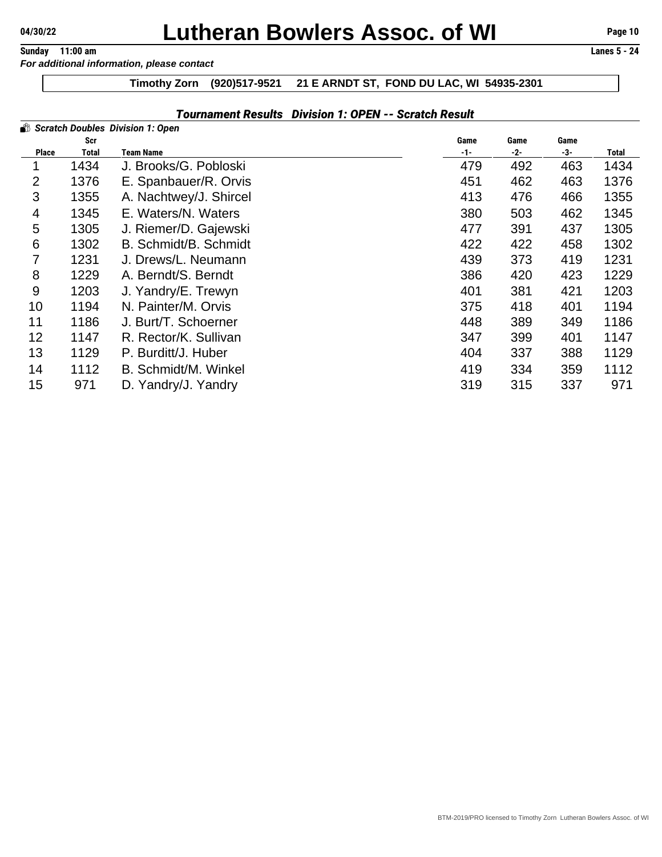# **Lutheran Bowlers Assoc. of WI** Page 10<br> **Sunday** 11:00 am<br> **Lanes 5 - 24**

**Sunday** 11:00 am *For additional information, please contact*

# **Timothy Zorn (920)517-9521 21 E ARNDT ST, FOND DU LAC, WI 54935-2301**

# *Tournament Results Division 1: OPEN -- Scratch Result*

|                |       | Scratch Doubles Division 1: Open |       |      |      |       |
|----------------|-------|----------------------------------|-------|------|------|-------|
|                | Scr   |                                  | Game  | Game | Game |       |
| <b>Place</b>   | Total | Team Name                        | $-1-$ | -2-  | -3-  | Total |
|                | 1434  | J. Brooks/G. Pobloski            | 479   | 492  | 463  | 1434  |
| $\overline{2}$ | 1376  | E. Spanbauer/R. Orvis            | 451   | 462  | 463  | 1376  |
| 3              | 1355  | A. Nachtwey/J. Shircel           | 413   | 476  | 466  | 1355  |
| 4              | 1345  | E. Waters/N. Waters              | 380   | 503  | 462  | 1345  |
| 5              | 1305  | J. Riemer/D. Gajewski            | 477   | 391  | 437  | 1305  |
| 6              | 1302  | B. Schmidt/B. Schmidt            | 422   | 422  | 458  | 1302  |
| 7              | 1231  | J. Drews/L. Neumann              | 439   | 373  | 419  | 1231  |
| 8              | 1229  | A. Berndt/S. Berndt              | 386   | 420  | 423  | 1229  |
| 9              | 1203  | J. Yandry/E. Trewyn              | 401   | 381  | 421  | 1203  |
| 10             | 1194  | N. Painter/M. Orvis              | 375   | 418  | 401  | 1194  |
| 11             | 1186  | J. Burt/T. Schoerner             | 448   | 389  | 349  | 1186  |
| 12             | 1147  | R. Rector/K. Sullivan            | 347   | 399  | 401  | 1147  |
| 13             | 1129  | P. Burditt/J. Huber              | 404   | 337  | 388  | 1129  |
| 14             | 1112  | B. Schmidt/M. Winkel             | 419   | 334  | 359  | 1112  |
| 15             | 971   | D. Yandry/J. Yandry              | 319   | 315  | 337  | 971   |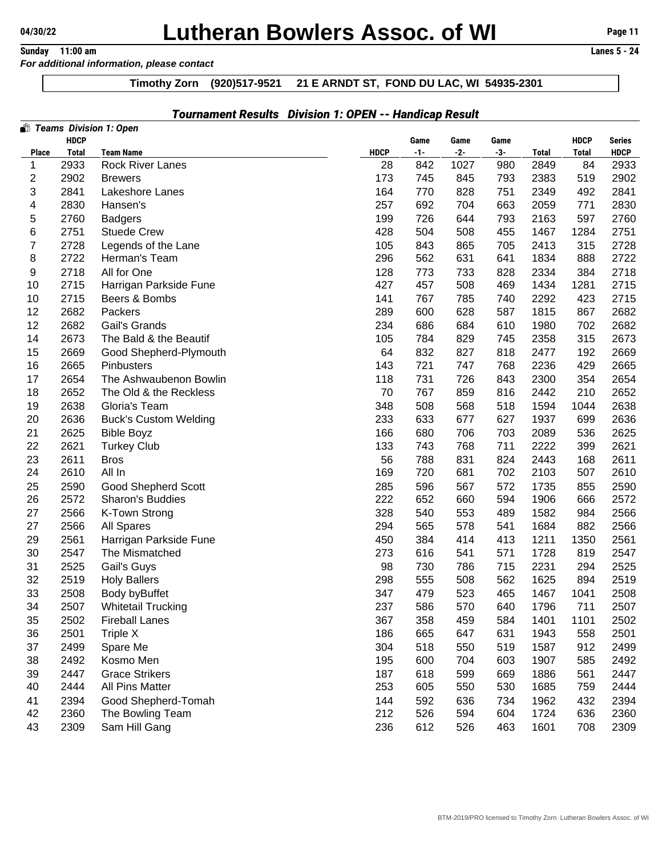# **CA/30/22 Lutheran Bowlers Assoc. of WI** Page 11<br> **Sunday** 11:00 am<br> **Lanes 5 - 24**

*For additional information, please contact*

# **Timothy Zorn (920)517-9521 21 E ARNDT ST, FOND DU LAC, WI 54935-2301**

|              |              | Teams Division 1: Open       |             |       |       |       |              |              |               |
|--------------|--------------|------------------------------|-------------|-------|-------|-------|--------------|--------------|---------------|
|              | <b>HDCP</b>  |                              |             | Game  | Game  | Game  |              | <b>HDCP</b>  | <b>Series</b> |
| <b>Place</b> | <b>Total</b> | <b>Team Name</b>             | <b>HDCP</b> | $-1-$ | $-2-$ | $-3-$ | <b>Total</b> | <b>Total</b> | <b>HDCP</b>   |
| 1            | 2933         | <b>Rock River Lanes</b>      | 28          | 842   | 1027  | 980   | 2849         | 84           | 2933          |
| 2            | 2902         | <b>Brewers</b>               | 173         | 745   | 845   | 793   | 2383         | 519          | 2902          |
| 3            | 2841         | Lakeshore Lanes              | 164         | 770   | 828   | 751   | 2349         | 492          | 2841          |
| 4            | 2830         | Hansen's                     | 257         | 692   | 704   | 663   | 2059         | 771          | 2830          |
| 5            | 2760         | <b>Badgers</b>               | 199         | 726   | 644   | 793   | 2163         | 597          | 2760          |
| 6            | 2751         | <b>Stuede Crew</b>           | 428         | 504   | 508   | 455   | 1467         | 1284         | 2751          |
| 7            | 2728         | Legends of the Lane          | 105         | 843   | 865   | 705   | 2413         | 315          | 2728          |
| 8            | 2722         | Herman's Team                | 296         | 562   | 631   | 641   | 1834         | 888          | 2722          |
| 9            | 2718         | All for One                  | 128         | 773   | 733   | 828   | 2334         | 384          | 2718          |
| 10           | 2715         | Harrigan Parkside Fune       | 427         | 457   | 508   | 469   | 1434         | 1281         | 2715          |
| 10           | 2715         | Beers & Bombs                | 141         | 767   | 785   | 740   | 2292         | 423          | 2715          |
| 12           | 2682         | Packers                      | 289         | 600   | 628   | 587   | 1815         | 867          | 2682          |
| 12           | 2682         | Gail's Grands                | 234         | 686   | 684   | 610   | 1980         | 702          | 2682          |
| 14           | 2673         | The Bald & the Beautif       | 105         | 784   | 829   | 745   | 2358         | 315          | 2673          |
| 15           | 2669         | Good Shepherd-Plymouth       | 64          | 832   | 827   | 818   | 2477         | 192          | 2669          |
| 16           | 2665         | Pinbusters                   | 143         | 721   | 747   | 768   | 2236         | 429          | 2665          |
| 17           | 2654         | The Ashwaubenon Bowlin       | 118         | 731   | 726   | 843   | 2300         | 354          | 2654          |
| 18           | 2652         | The Old & the Reckless       | 70          | 767   | 859   | 816   | 2442         | 210          | 2652          |
| 19           | 2638         | Gloria's Team                | 348         | 508   | 568   | 518   | 1594         | 1044         | 2638          |
| 20           | 2636         | <b>Buck's Custom Welding</b> | 233         | 633   | 677   | 627   | 1937         | 699          | 2636          |
| 21           | 2625         | <b>Bible Boyz</b>            | 166         | 680   | 706   | 703   | 2089         | 536          | 2625          |
| 22           | 2621         | <b>Turkey Club</b>           | 133         | 743   | 768   | 711   | 2222         | 399          | 2621          |
| 23           | 2611         | <b>Bros</b>                  | 56          | 788   | 831   | 824   | 2443         | 168          | 2611          |
| 24           | 2610         | All In                       | 169         | 720   | 681   | 702   | 2103         | 507          | 2610          |
| 25           | 2590         | <b>Good Shepherd Scott</b>   | 285         | 596   | 567   | 572   | 1735         | 855          | 2590          |
| 26           | 2572         | Sharon's Buddies             | 222         | 652   | 660   | 594   | 1906         | 666          | 2572          |
| 27           | 2566         | K-Town Strong                | 328         | 540   | 553   | 489   | 1582         | 984          | 2566          |
| 27           | 2566         | All Spares                   | 294         | 565   | 578   | 541   | 1684         | 882          | 2566          |
| 29           | 2561         | Harrigan Parkside Fune       | 450         | 384   | 414   | 413   | 1211         | 1350         | 2561          |
| 30           | 2547         | The Mismatched               | 273         | 616   | 541   | 571   | 1728         | 819          | 2547          |
| 31           | 2525         | Gail's Guys                  | 98          | 730   | 786   | 715   | 2231         | 294          | 2525          |
| 32           | 2519         | <b>Holy Ballers</b>          | 298         | 555   | 508   | 562   | 1625         | 894          | 2519          |
| 33           | 2508         | Body byBuffet                | 347         | 479   | 523   | 465   | 1467         | 1041         | 2508          |
| 34           | 2507         | <b>Whitetail Trucking</b>    | 237         | 586   | 570   | 640   | 1796         | 711          | 2507          |
| 35           | 2502         | <b>Fireball Lanes</b>        | 367         | 358   | 459   | 584   | 1401         | 1101         | 2502          |
| 36           | 2501         | Triple X                     | 186         | 665   | 647   | 631   | 1943         | 558          | 2501          |
| 37           | 2499         | Spare Me                     | 304         | 518   | 550   | 519   | 1587         | 912          | 2499          |
| 38           | 2492         | Kosmo Men                    | 195         | 600   | 704   | 603   | 1907         | 585          | 2492          |
| 39           | 2447         | <b>Grace Strikers</b>        | 187         | 618   | 599   | 669   | 1886         | 561          | 2447          |
| 40           | 2444         | All Pins Matter              | 253         | 605   | 550   | 530   | 1685         | 759          | 2444          |
| 41           | 2394         | Good Shepherd-Tomah          | 144         | 592   | 636   | 734   | 1962         | 432          | 2394          |
| 42           | 2360         | The Bowling Team             | 212         | 526   | 594   | 604   | 1724         | 636          | 2360          |
| 43           | 2309         | Sam Hill Gang                | 236         | 612   | 526   | 463   | 1601         | 708          | 2309          |
|              |              |                              |             |       |       |       |              |              |               |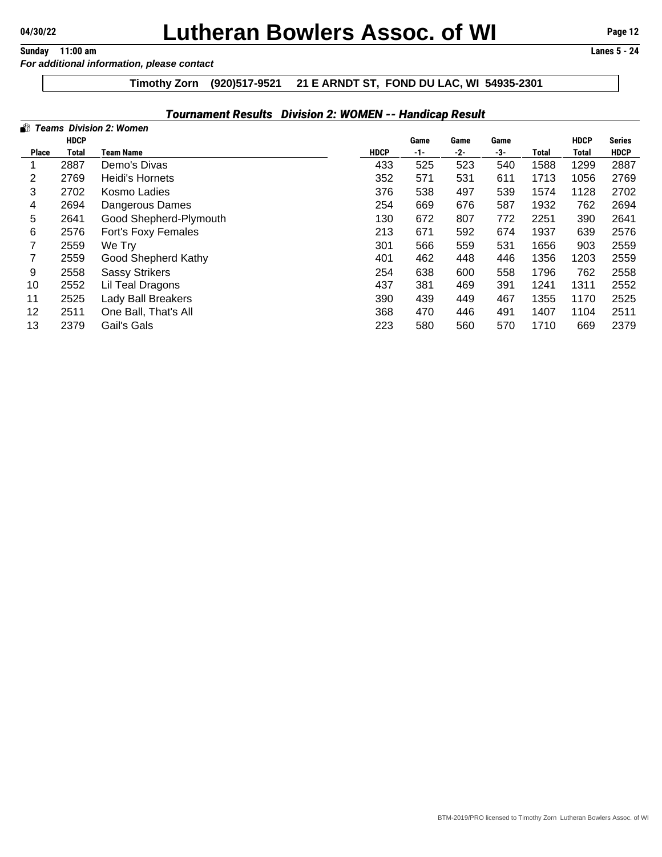# **Lutheran Bowlers Assoc. of WI** Page 12

### **Sunday** 11:00 am *For additional information, please contact*

# **Timothy Zorn (920)517-9521 21 E ARNDT ST, FOND DU LAC, WI 54935-2301**

|              |              | <b>B</b> Teams Division 2: Women |             |      |      |      |       |              |               |
|--------------|--------------|----------------------------------|-------------|------|------|------|-------|--------------|---------------|
|              | <b>HDCP</b>  |                                  |             | Game | Game | Game |       | <b>HDCP</b>  | <b>Series</b> |
| <b>Place</b> | <b>Total</b> | Team Name                        | <b>HDCP</b> | -1-  | -2-  | -3-  | Total | <b>Total</b> | <b>HDCP</b>   |
|              | 2887         | Demo's Divas                     | 433         | 525  | 523  | 540  | 1588  | 1299         | 2887          |
| 2            | 2769         | Heidi's Hornets                  | 352         | 571  | 531  | 611  | 1713  | 1056         | 2769          |
| 3            | 2702         | Kosmo Ladies                     | 376         | 538  | 497  | 539  | 1574  | 1128         | 2702          |
| 4            | 2694         | Dangerous Dames                  | 254         | 669  | 676  | 587  | 1932  | 762          | 2694          |
| 5            | 2641         | Good Shepherd-Plymouth           | 130         | 672  | 807  | 772  | 2251  | 390          | 2641          |
| 6            | 2576         | Fort's Foxy Females              | 213         | 671  | 592  | 674  | 1937  | 639          | 2576          |
| 7            | 2559         | We Try                           | 301         | 566  | 559  | 531  | 1656  | 903          | 2559          |
|              | 2559         | Good Shepherd Kathy              | 401         | 462  | 448  | 446  | 1356  | 1203         | 2559          |
| 9            | 2558         | <b>Sassy Strikers</b>            | 254         | 638  | 600  | 558  | 1796  | 762          | 2558          |
| 10           | 2552         | Lil Teal Dragons                 | 437         | 381  | 469  | 391  | 1241  | 1311         | 2552          |
| 11           | 2525         | <b>Lady Ball Breakers</b>        | 390         | 439  | 449  | 467  | 1355  | 1170         | 2525          |
| 12           | 2511         | One Ball, That's All             | 368         | 470  | 446  | 491  | 1407  | 1104         | 2511          |
| 13           | 2379         | Gail's Gals                      | 223         | 580  | 560  | 570  | 1710  | 669          | 2379          |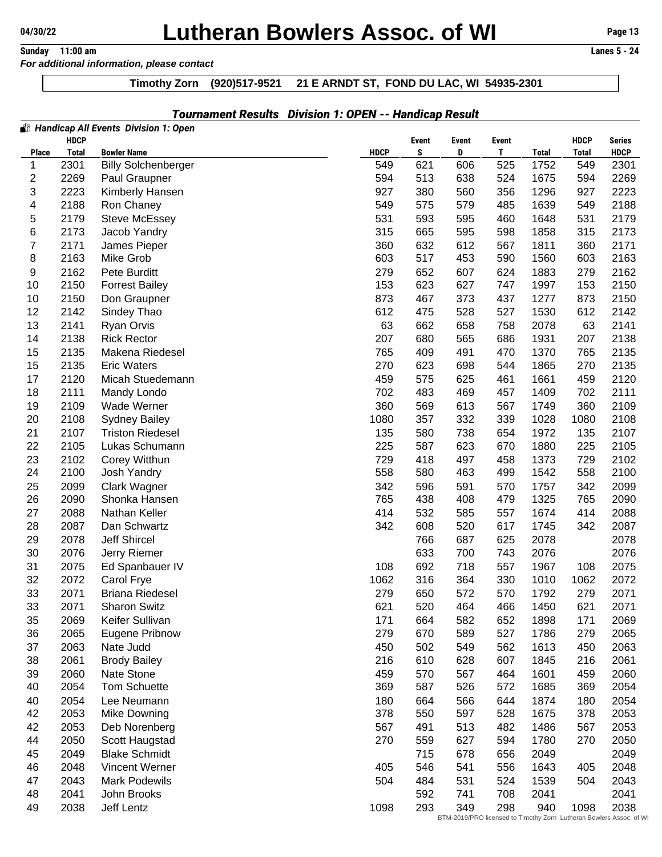## **Timothy Zorn (920)517-9521 21 E ARNDT ST, FOND DU LAC, WI 54935-2301**

|                         |                      | <b>B</b> Handicap All Events Division 1: Open    |                    |                 |              |                    |                      |                     |                                                                    |
|-------------------------|----------------------|--------------------------------------------------|--------------------|-----------------|--------------|--------------------|----------------------|---------------------|--------------------------------------------------------------------|
|                         | <b>HDCP</b>          |                                                  |                    | Event           | <b>Event</b> | <b>Event</b>       |                      | <b>HDCP</b>         | <b>Series</b>                                                      |
| <b>Place</b><br>1       | <b>Total</b><br>2301 | <b>Bowler Name</b><br><b>Billy Solchenberger</b> | <b>HDCP</b><br>549 | $\bf{s}$<br>621 | D<br>606     | $\mathbf T$<br>525 | <b>Total</b><br>1752 | <b>Total</b><br>549 | <b>HDCP</b><br>2301                                                |
| $\overline{\mathbf{c}}$ | 2269                 | Paul Graupner                                    | 594                | 513             | 638          | 524                | 1675                 | 594                 | 2269                                                               |
| 3                       | 2223                 | Kimberly Hansen                                  | 927                | 380             | 560          | 356                | 1296                 | 927                 | 2223                                                               |
| 4                       | 2188                 | Ron Chaney                                       | 549                | 575             | 579          | 485                | 1639                 | 549                 | 2188                                                               |
| 5                       | 2179                 | <b>Steve McEssey</b>                             | 531                | 593             | 595          | 460                | 1648                 | 531                 | 2179                                                               |
| 6                       | 2173                 | Jacob Yandry                                     | 315                | 665             | 595          | 598                | 1858                 | 315                 | 2173                                                               |
| $\overline{7}$          | 2171                 | James Pieper                                     | 360                | 632             | 612          | 567                | 1811                 | 360                 | 2171                                                               |
| 8                       | 2163                 | Mike Grob                                        | 603                | 517             | 453          | 590                | 1560                 | 603                 | 2163                                                               |
| 9                       | 2162                 | Pete Burditt                                     | 279                | 652             | 607          | 624                | 1883                 | 279                 | 2162                                                               |
| 10                      | 2150                 | <b>Forrest Bailey</b>                            | 153                | 623             | 627          | 747                | 1997                 | 153                 | 2150                                                               |
| 10                      | 2150                 | Don Graupner                                     | 873                | 467             | 373          | 437                | 1277                 | 873                 | 2150                                                               |
| 12                      | 2142                 | Sindey Thao                                      | 612                | 475             | 528          | 527                | 1530                 | 612                 | 2142                                                               |
| 13                      | 2141                 | Ryan Orvis                                       | 63                 | 662             | 658          | 758                | 2078                 | 63                  | 2141                                                               |
| 14                      | 2138                 | <b>Rick Rector</b>                               | 207                | 680             | 565          | 686                | 1931                 | 207                 | 2138                                                               |
| 15                      | 2135                 | Makena Riedesel                                  | 765                | 409             | 491          | 470                | 1370                 | 765                 | 2135                                                               |
| 15                      | 2135                 | <b>Eric Waters</b>                               | 270                | 623             | 698          | 544                | 1865                 | 270                 | 2135                                                               |
| 17                      | 2120                 | Micah Stuedemann                                 | 459                | 575             | 625          | 461                | 1661                 | 459                 | 2120                                                               |
| 18                      | 2111                 | Mandy Londo                                      | 702                | 483             | 469          | 457                | 1409                 | 702                 | 2111                                                               |
| 19                      | 2109                 | Wade Werner                                      | 360                | 569             | 613          | 567                | 1749                 | 360                 | 2109                                                               |
| 20                      | 2108                 | <b>Sydney Bailey</b>                             | 1080               | 357             | 332          | 339                | 1028                 | 1080                | 2108                                                               |
| 21                      | 2107                 | <b>Triston Riedesel</b>                          | 135                | 580             | 738          | 654                | 1972                 | 135                 | 2107                                                               |
| 22                      | 2105                 | Lukas Schumann                                   | 225                | 587             | 623          | 670                | 1880                 | 225                 | 2105                                                               |
| 23                      | 2102                 | Corey Witthun                                    | 729                | 418             | 497          | 458                | 1373                 | 729                 | 2102                                                               |
| 24                      | 2100                 | Josh Yandry                                      | 558                | 580             | 463          | 499                | 1542                 | 558                 | 2100                                                               |
| 25                      | 2099                 | Clark Wagner                                     | 342                | 596             | 591          | 570                | 1757                 | 342                 | 2099                                                               |
| 26                      | 2090                 | Shonka Hansen                                    | 765                | 438             | 408          | 479                | 1325                 | 765                 | 2090                                                               |
| 27                      | 2088                 | Nathan Keller                                    | 414                | 532             | 585          | 557                | 1674                 | 414                 | 2088                                                               |
| 28                      | 2087                 | Dan Schwartz                                     | 342                | 608             | 520          | 617                | 1745                 | 342                 | 2087                                                               |
| 29                      | 2078                 | <b>Jeff Shircel</b>                              |                    | 766             | 687          | 625                | 2078                 |                     | 2078                                                               |
| 30                      | 2076                 | Jerry Riemer                                     |                    | 633             | 700          | 743                | 2076                 |                     | 2076                                                               |
| 31                      | 2075                 | Ed Spanbauer IV                                  | 108                | 692             | 718          | 557                | 1967                 | 108                 | 2075                                                               |
| 32                      | 2072                 | Carol Frye                                       | 1062               | 316             | 364          | 330                | 1010                 | 1062                | 2072                                                               |
| 33                      | 2071                 | <b>Briana Riedesel</b>                           | 279                | 650             | 572          | 570                | 1792                 | 279                 | 2071                                                               |
| 33                      | 2071                 | Sharon Switz                                     | 621                | 520             | 464          | 466                | 1450                 | 621                 | 2071                                                               |
| 35                      | 2069                 | Keifer Sullivan                                  | 171                | 664             | 582          | 652                | 1898                 | 171                 | 2069                                                               |
| 36                      | 2065                 | Eugene Pribnow                                   | 279                | 670             | 589          | 527                | 1786                 | 279                 | 2065                                                               |
| 37                      | 2063                 | Nate Judd                                        | 450                | 502             | 549          | 562                | 1613                 | 450                 | 2063                                                               |
| 38                      | 2061                 | <b>Brody Bailey</b>                              | 216                | 610             | 628          | 607                | 1845                 | 216                 | 2061                                                               |
| 39                      | 2060                 | Nate Stone                                       | 459                | 570             | 567          | 464                | 1601                 | 459                 | 2060                                                               |
| 40                      | 2054                 | <b>Tom Schuette</b>                              | 369                | 587             | 526          | 572                | 1685                 | 369                 | 2054                                                               |
| 40                      | 2054                 | Lee Neumann                                      | 180                | 664             | 566          | 644                | 1874                 | 180                 | 2054                                                               |
| 42                      | 2053                 | Mike Downing                                     | 378                | 550             | 597          | 528                | 1675                 | 378                 | 2053                                                               |
| 42                      | 2053                 | Deb Norenberg                                    | 567                | 491             | 513          | 482                | 1486                 | 567                 | 2053                                                               |
| 44                      | 2050                 | Scott Haugstad                                   | 270                | 559             | 627          | 594                | 1780                 | 270                 | 2050                                                               |
| 45                      | 2049                 | <b>Blake Schmidt</b>                             |                    | 715             | 678          | 656                | 2049                 |                     | 2049                                                               |
| 46                      | 2048                 | Vincent Werner                                   | 405                | 546             | 541          | 556                | 1643                 | 405                 | 2048                                                               |
| 47                      | 2043                 | <b>Mark Podewils</b>                             | 504                | 484             | 531          | 524                | 1539                 | 504                 | 2043                                                               |
| 48                      | 2041                 | John Brooks                                      |                    | 592             | 741          | 708                | 2041                 |                     | 2041                                                               |
| 49                      | 2038                 | Jeff Lentz                                       | 1098               | 293             | 349          | 298                | 940                  | 1098                | 2038                                                               |
|                         |                      |                                                  |                    |                 |              |                    |                      |                     | BTM-2019/PRO licensed to Timothy Zorn Lutheran Bowlers Assoc. of W |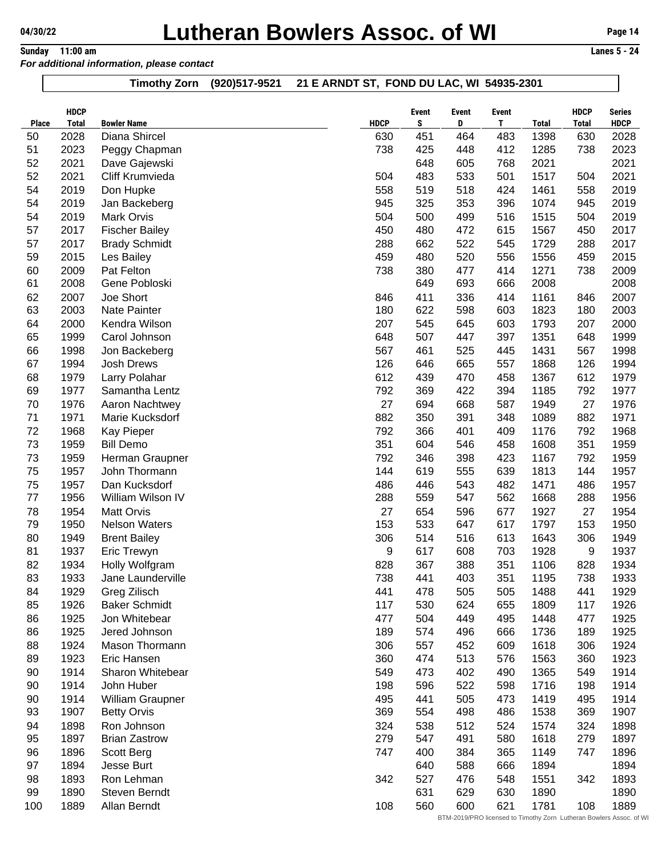|                    | <b>HDCP</b>          |                                     | <b>HDCP</b> | <b>Event</b><br>S | <b>Event</b><br>D                                                       | Event<br>T |                      | <b>HDCP</b>         | <b>Series</b>       |
|--------------------|----------------------|-------------------------------------|-------------|-------------------|-------------------------------------------------------------------------|------------|----------------------|---------------------|---------------------|
| <b>Place</b><br>50 | <b>Total</b><br>2028 | <b>Bowler Name</b><br>Diana Shircel | 630         | 451               | 464                                                                     | 483        | <b>Total</b><br>1398 | <b>Total</b><br>630 | <b>HDCP</b><br>2028 |
| 51                 | 2023                 |                                     | 738         | 425               | 448                                                                     | 412        | 1285                 | 738                 | 2023                |
|                    |                      | Peggy Chapman                       |             |                   |                                                                         |            |                      |                     |                     |
| 52                 | 2021                 | Dave Gajewski<br>Cliff Krumvieda    |             | 648<br>483        | 605<br>533                                                              | 768        | 2021<br>1517         |                     | 2021                |
| 52                 | 2021                 |                                     | 504         |                   |                                                                         | 501        |                      | 504                 | 2021                |
| 54                 | 2019                 | Don Hupke                           | 558         | 519               | 518                                                                     | 424        | 1461                 | 558                 | 2019                |
| 54                 | 2019                 | Jan Backeberg                       | 945         | 325               | 353                                                                     | 396        | 1074                 | 945                 | 2019                |
| 54                 | 2019                 | Mark Orvis                          | 504         | 500               | 499                                                                     | 516        | 1515                 | 504                 | 2019                |
| 57                 | 2017                 | <b>Fischer Bailey</b>               | 450         | 480               | 472                                                                     | 615        | 1567                 | 450                 | 2017                |
| 57                 | 2017                 | <b>Brady Schmidt</b>                | 288         | 662               | 522                                                                     | 545        | 1729                 | 288                 | 2017                |
| 59                 | 2015                 | Les Bailey                          | 459         | 480               | 520                                                                     | 556        | 1556                 | 459                 | 2015                |
| 60                 | 2009                 | Pat Felton                          | 738         | 380               | 477                                                                     | 414        | 1271                 | 738                 | 2009                |
| 61                 | 2008                 | Gene Pobloski                       |             | 649               | 693                                                                     | 666        | 2008                 |                     | 2008                |
| 62                 | 2007                 | Joe Short                           | 846         | 411               | 336                                                                     | 414        | 1161                 | 846                 | 2007                |
| 63                 | 2003                 | Nate Painter                        | 180         | 622               | 598                                                                     | 603        | 1823                 | 180                 | 2003                |
| 64                 | 2000                 | Kendra Wilson                       | 207         | 545               | 645                                                                     | 603        | 1793                 | 207                 | 2000                |
| 65                 | 1999                 | Carol Johnson                       | 648         | 507               | 447                                                                     | 397        | 1351                 | 648                 | 1999                |
| 66                 | 1998                 | Jon Backeberg                       | 567         | 461               | 525                                                                     | 445        | 1431                 | 567                 | 1998                |
| 67                 | 1994                 | Josh Drews                          | 126         | 646               | 665                                                                     | 557        | 1868                 | 126                 | 1994                |
| 68                 | 1979                 | Larry Polahar                       | 612         | 439               | 470                                                                     | 458        | 1367                 | 612                 | 1979                |
| 69                 | 1977                 | Samantha Lentz                      | 792         | 369               | 422                                                                     | 394        | 1185                 | 792                 | 1977                |
| 70                 | 1976                 | Aaron Nachtwey                      | 27          | 694               | 668                                                                     | 587        | 1949                 | 27                  | 1976                |
| 71                 | 1971                 | Marie Kucksdorf                     | 882         | 350               | 391                                                                     | 348        | 1089                 | 882                 | 1971                |
| 72                 | 1968                 | Kay Pieper                          | 792         | 366               | 401                                                                     | 409        | 1176                 | 792                 | 1968                |
| 73                 | 1959                 | <b>Bill Demo</b>                    | 351         | 604               | 546                                                                     | 458        | 1608                 | 351                 | 1959                |
| 73                 | 1959                 | Herman Graupner                     | 792         | 346               | 398                                                                     | 423        | 1167                 | 792                 | 1959                |
| 75                 | 1957                 | John Thormann                       | 144         | 619               | 555                                                                     | 639        | 1813                 | 144                 | 1957                |
| 75                 | 1957                 | Dan Kucksdorf                       | 486         | 446               | 543                                                                     | 482        | 1471                 | 486                 | 1957                |
| 77                 | 1956                 | William Wilson IV                   | 288         | 559               | 547                                                                     | 562        | 1668                 | 288                 | 1956                |
| 78                 | 1954                 | Matt Orvis                          | 27          | 654               | 596                                                                     | 677        | 1927                 | 27                  | 1954                |
| 79                 | 1950                 | <b>Nelson Waters</b>                | 153         | 533               | 647                                                                     | 617        | 1797                 | 153                 | 1950                |
| 80                 | 1949                 | <b>Brent Bailey</b>                 | 306         | 514               | 516                                                                     | 613        | 1643                 | 306                 | 1949                |
| 81                 | 1937                 | Eric Trewyn                         | 9           | 617               | 608                                                                     | 703        | 1928                 | 9                   | 1937                |
| 82                 | 1934                 | Holly Wolfgram                      | 828         | 367               | 388                                                                     | 351        | 1106                 | 828                 | 1934                |
| 83                 | 1933                 | Jane Launderville                   | 738         | 441               | 403                                                                     | 351        | 1195                 | 738                 | 1933                |
| 84                 | 1929                 | Greg Zilisch                        | 441         | 478               | 505                                                                     | 505        | 1488                 | 441                 | 1929                |
| 85                 | 1926                 | <b>Baker Schmidt</b>                | 117         | 530               | 624                                                                     | 655        | 1809                 | 117                 | 1926                |
| 86                 | 1925                 | Jon Whitebear                       | 477         | 504               | 449                                                                     | 495        | 1448                 | 477                 | 1925                |
| 86                 | 1925                 | Jered Johnson                       | 189         | 574               | 496                                                                     | 666        | 1736                 | 189                 | 1925                |
| 88                 | 1924                 | Mason Thormann                      | 306         | 557               | 452                                                                     | 609        | 1618                 | 306                 | 1924                |
| 89                 | 1923                 | Eric Hansen                         | 360         | 474               | 513                                                                     | 576        | 1563                 | 360                 | 1923                |
| 90                 | 1914                 | Sharon Whitebear                    | 549         | 473               | 402                                                                     | 490        | 1365                 | 549                 | 1914                |
| 90                 | 1914                 | John Huber                          | 198         | 596               | 522                                                                     | 598        | 1716                 | 198                 | 1914                |
| 90                 | 1914                 | William Graupner                    | 495         | 441               | 505                                                                     | 473        | 1419                 | 495                 | 1914                |
| 93                 | 1907                 | <b>Betty Orvis</b>                  | 369         | 554               | 498                                                                     | 486        | 1538                 | 369                 | 1907                |
| 94                 | 1898                 | Ron Johnson                         | 324         | 538               | 512                                                                     | 524        | 1574                 | 324                 | 1898                |
| 95                 | 1897                 | <b>Brian Zastrow</b>                | 279         | 547               | 491                                                                     | 580        | 1618                 | 279                 | 1897                |
| 96                 | 1896                 | Scott Berg                          | 747         | 400               | 384                                                                     | 365        | 1149                 | 747                 | 1896                |
| 97                 | 1894                 | Jesse Burt                          |             | 640               | 588                                                                     | 666        | 1894                 |                     | 1894                |
| 98                 | 1893                 | Ron Lehman                          | 342         | 527               | 476                                                                     | 548        | 1551                 | 342                 | 1893                |
| 99                 | 1890                 | Steven Berndt                       |             | 631               | 629                                                                     | 630        | 1890                 |                     | 1890                |
| 100                | 1889                 | Allan Berndt                        | 108         | 560               | 600<br>BTM-2019/PRO licensed to Timothy Zorn Lutheran Bowlers Assoc, of | 621        | 1781                 | 108                 | 1889                |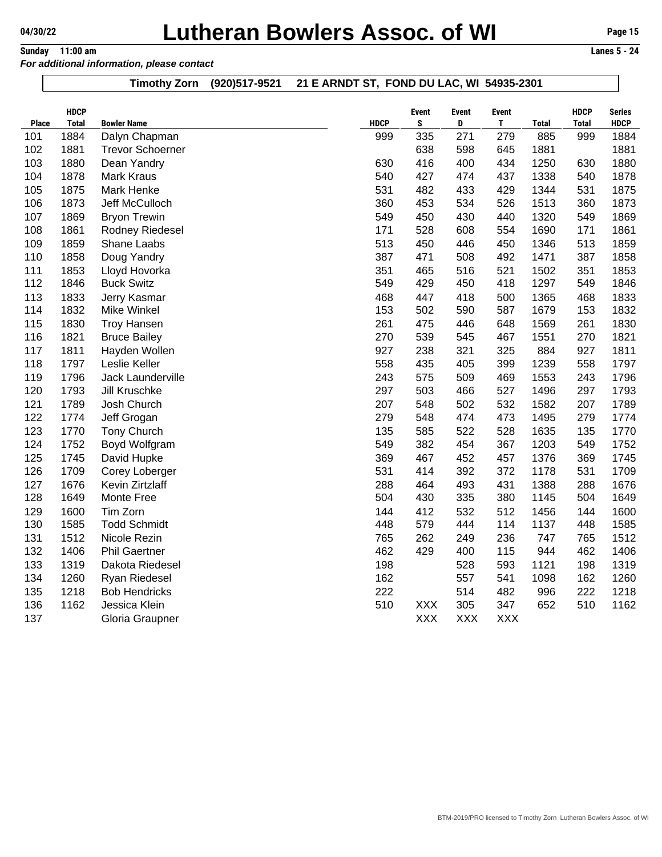# **Lutheran Bowlers Assoc. of WI** Page 15<br> **Sunday** 11:00 am<br> **Lanes 5 - 24**

*For additional information, please contact*

|              | <b>HDCP</b>  |                         |             | <b>Event</b> | <b>Event</b> | <b>Event</b> |              | <b>HDCP</b>  | <b>Series</b> |
|--------------|--------------|-------------------------|-------------|--------------|--------------|--------------|--------------|--------------|---------------|
| <b>Place</b> | <b>Total</b> | <b>Bowler Name</b>      | <b>HDCP</b> | S            | D            | T.           | <b>Total</b> | <b>Total</b> | <b>HDCP</b>   |
| 101          | 1884         | Dalyn Chapman           | 999         | 335          | 271          | 279          | 885          | 999          | 1884          |
| 102          | 1881         | <b>Trevor Schoerner</b> |             | 638          | 598          | 645          | 1881         |              | 1881          |
| 103          | 1880         | Dean Yandry             | 630         | 416          | 400          | 434          | 1250         | 630          | 1880          |
| 104          | 1878         | <b>Mark Kraus</b>       | 540         | 427          | 474          | 437          | 1338         | 540          | 1878          |
| 105          | 1875         | <b>Mark Henke</b>       | 531         | 482          | 433          | 429          | 1344         | 531          | 1875          |
| 106          | 1873         | Jeff McCulloch          | 360         | 453          | 534          | 526          | 1513         | 360          | 1873          |
| 107          | 1869         | <b>Bryon Trewin</b>     | 549         | 450          | 430          | 440          | 1320         | 549          | 1869          |
| 108          | 1861         | Rodney Riedesel         | 171         | 528          | 608          | 554          | 1690         | 171          | 1861          |
| 109          | 1859         | Shane Laabs             | 513         | 450          | 446          | 450          | 1346         | 513          | 1859          |
| 110          | 1858         | Doug Yandry             | 387         | 471          | 508          | 492          | 1471         | 387          | 1858          |
| 111          | 1853         | Lloyd Hovorka           | 351         | 465          | 516          | 521          | 1502         | 351          | 1853          |
| 112          | 1846         | <b>Buck Switz</b>       | 549         | 429          | 450          | 418          | 1297         | 549          | 1846          |
| 113          | 1833         | Jerry Kasmar            | 468         | 447          | 418          | 500          | 1365         | 468          | 1833          |
| 114          | 1832         | Mike Winkel             | 153         | 502          | 590          | 587          | 1679         | 153          | 1832          |
| 115          | 1830         | <b>Troy Hansen</b>      | 261         | 475          | 446          | 648          | 1569         | 261          | 1830          |
| 116          | 1821         | <b>Bruce Bailey</b>     | 270         | 539          | 545          | 467          | 1551         | 270          | 1821          |
| 117          | 1811         | Hayden Wollen           | 927         | 238          | 321          | 325          | 884          | 927          | 1811          |
| 118          | 1797         | Leslie Keller           | 558         | 435          | 405          | 399          | 1239         | 558          | 1797          |
| 119          | 1796         | Jack Launderville       | 243         | 575          | 509          | 469          | 1553         | 243          | 1796          |
| 120          | 1793         | Jill Kruschke           | 297         | 503          | 466          | 527          | 1496         | 297          | 1793          |
| 121          | 1789         | Josh Church             | 207         | 548          | 502          | 532          | 1582         | 207          | 1789          |
| 122          | 1774         | Jeff Grogan             | 279         | 548          | 474          | 473          | 1495         | 279          | 1774          |
| 123          | 1770         | <b>Tony Church</b>      | 135         | 585          | 522          | 528          | 1635         | 135          | 1770          |
| 124          | 1752         | Boyd Wolfgram           | 549         | 382          | 454          | 367          | 1203         | 549          | 1752          |
| 125          | 1745         | David Hupke             | 369         | 467          | 452          | 457          | 1376         | 369          | 1745          |
| 126          | 1709         | Corey Loberger          | 531         | 414          | 392          | 372          | 1178         | 531          | 1709          |
| 127          | 1676         | Kevin Zirtzlaff         | 288         | 464          | 493          | 431          | 1388         | 288          | 1676          |
| 128          | 1649         | Monte Free              | 504         | 430          | 335          | 380          | 1145         | 504          | 1649          |
| 129          | 1600         | Tim Zorn                | 144         | 412          | 532          | 512          | 1456         | 144          | 1600          |
| 130          | 1585         | <b>Todd Schmidt</b>     | 448         | 579          | 444          | 114          | 1137         | 448          | 1585          |
| 131          | 1512         | Nicole Rezin            | 765         | 262          | 249          | 236          | 747          | 765          | 1512          |
| 132          | 1406         | <b>Phil Gaertner</b>    | 462         | 429          | 400          | 115          | 944          | 462          | 1406          |
| 133          | 1319         | Dakota Riedesel         | 198         |              | 528          | 593          | 1121         | 198          | 1319          |
| 134          | 1260         | Ryan Riedesel           | 162         |              | 557          | 541          | 1098         | 162          | 1260          |
| 135          | 1218         | <b>Bob Hendricks</b>    | 222         |              | 514          | 482          | 996          | 222          | 1218          |
| 136          | 1162         | Jessica Klein           | 510         | XXX          | 305          | 347          | 652          | 510          | 1162          |
| 137          |              | Gloria Graupner         |             | <b>XXX</b>   | <b>XXX</b>   | <b>XXX</b>   |              |              |               |
|              |              |                         |             |              |              |              |              |              |               |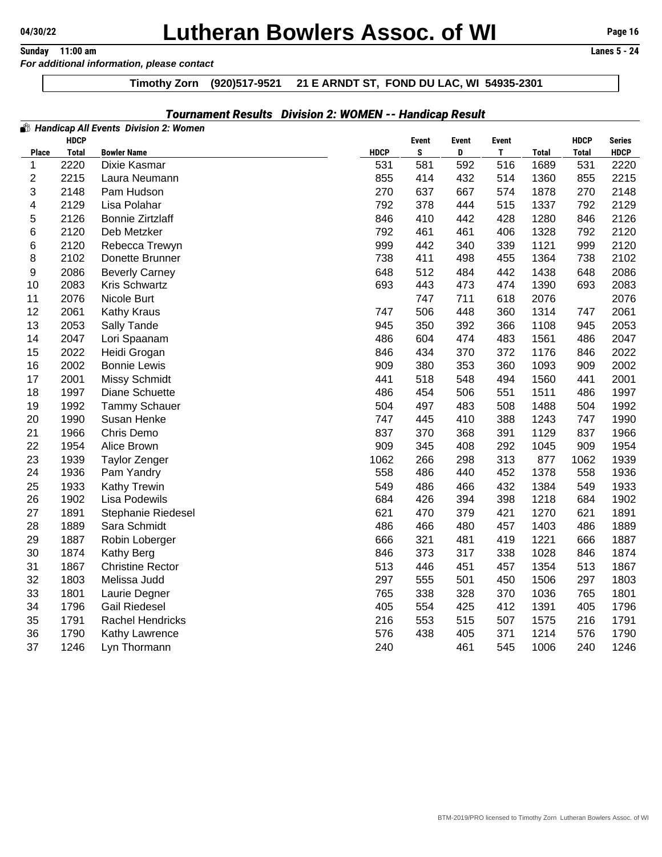# **CA/30/22 Lutheran Bowlers Assoc. of WI** Page 16

**Sunday** 11:00 am

*For additional information, please contact*

### **Timothy Zorn (920)517-9521 21 E ARNDT ST, FOND DU LAC, WI 54935-2301**

|              |                             | <b>B</b> Handicap All Events Division 2: Women |             |                   |                   |                   |              |                             |                              |
|--------------|-----------------------------|------------------------------------------------|-------------|-------------------|-------------------|-------------------|--------------|-----------------------------|------------------------------|
| <b>Place</b> | <b>HDCP</b><br><b>Total</b> | <b>Bowler Name</b>                             | <b>HDCP</b> | <b>Event</b><br>S | <b>Event</b><br>D | <b>Event</b><br>T | <b>Total</b> | <b>HDCP</b><br><b>Total</b> | <b>Series</b><br><b>HDCP</b> |
| 1            | 2220                        | Dixie Kasmar                                   | 531         | 581               | 592               | 516               | 1689         | 531                         | 2220                         |
| 2            | 2215                        | Laura Neumann                                  | 855         | 414               | 432               | 514               | 1360         | 855                         | 2215                         |
| 3            | 2148                        | Pam Hudson                                     | 270         | 637               | 667               | 574               | 1878         | 270                         | 2148                         |
| 4            | 2129                        | Lisa Polahar                                   | 792         | 378               | 444               | 515               | 1337         | 792                         | 2129                         |
| 5            | 2126                        | <b>Bonnie Zirtzlaff</b>                        | 846         | 410               | 442               | 428               | 1280         | 846                         | 2126                         |
| 6            | 2120                        | Deb Metzker                                    | 792         | 461               | 461               | 406               | 1328         | 792                         | 2120                         |
| 6            | 2120                        | Rebecca Trewyn                                 | 999         | 442               | 340               | 339               | 1121         | 999                         | 2120                         |
| 8            | 2102                        | Donette Brunner                                | 738         | 411               | 498               | 455               | 1364         | 738                         | 2102                         |
| 9            | 2086                        | <b>Beverly Carney</b>                          | 648         | 512               | 484               | 442               | 1438         | 648                         | 2086                         |
| 10           | 2083                        | Kris Schwartz                                  | 693         | 443               | 473               | 474               | 1390         | 693                         | 2083                         |
| 11           | 2076                        | Nicole Burt                                    |             | 747               | 711               | 618               | 2076         |                             | 2076                         |
| 12           | 2061                        | Kathy Kraus                                    | 747         | 506               | 448               | 360               | 1314         | 747                         | 2061                         |
| 13           | 2053                        | Sally Tande                                    | 945         | 350               | 392               | 366               | 1108         | 945                         | 2053                         |
| 14           | 2047                        | Lori Spaanam                                   | 486         | 604               | 474               | 483               | 1561         | 486                         | 2047                         |
| 15           | 2022                        | Heidi Grogan                                   | 846         | 434               | 370               | 372               | 1176         | 846                         | 2022                         |
| 16           | 2002                        | <b>Bonnie Lewis</b>                            | 909         | 380               | 353               | 360               | 1093         | 909                         | 2002                         |
| 17           | 2001                        | Missy Schmidt                                  | 441         | 518               | 548               | 494               | 1560         | 441                         | 2001                         |
| 18           | 1997                        | Diane Schuette                                 | 486         | 454               | 506               | 551               | 1511         | 486                         | 1997                         |
| 19           | 1992                        | <b>Tammy Schauer</b>                           | 504         | 497               | 483               | 508               | 1488         | 504                         | 1992                         |
| 20           | 1990                        | Susan Henke                                    | 747         | 445               | 410               | 388               | 1243         | 747                         | 1990                         |
| 21           | 1966                        | Chris Demo                                     | 837         | 370               | 368               | 391               | 1129         | 837                         | 1966                         |
| 22           | 1954                        | Alice Brown                                    | 909         | 345               | 408               | 292               | 1045         | 909                         | 1954                         |
| 23           | 1939                        | <b>Taylor Zenger</b>                           | 1062        | 266               | 298               | 313               | 877          | 1062                        | 1939                         |
| 24           | 1936                        | Pam Yandry                                     | 558         | 486               | 440               | 452               | 1378         | 558                         | 1936                         |
| 25           | 1933                        | <b>Kathy Trewin</b>                            | 549         | 486               | 466               | 432               | 1384         | 549                         | 1933                         |
| 26           | 1902                        | Lisa Podewils                                  | 684         | 426               | 394               | 398               | 1218         | 684                         | 1902                         |
| 27           | 1891                        | Stephanie Riedesel                             | 621         | 470               | 379               | 421               | 1270         | 621                         | 1891                         |
| 28           | 1889                        | Sara Schmidt                                   | 486         | 466               | 480               | 457               | 1403         | 486                         | 1889                         |
| 29           | 1887                        | Robin Loberger                                 | 666         | 321               | 481               | 419               | 1221         | 666                         | 1887                         |
| 30           | 1874                        | Kathy Berg                                     | 846         | 373               | 317               | 338               | 1028         | 846                         | 1874                         |
| 31           | 1867                        | <b>Christine Rector</b>                        | 513         | 446               | 451               | 457               | 1354         | 513                         | 1867                         |
| 32           | 1803                        | Melissa Judd                                   | 297         | 555               | 501               | 450               | 1506         | 297                         | 1803                         |
| 33           | 1801                        | Laurie Degner                                  | 765         | 338               | 328               | 370               | 1036         | 765                         | 1801                         |
| 34           | 1796                        | <b>Gail Riedesel</b>                           | 405         | 554               | 425               | 412               | 1391         | 405                         | 1796                         |
| 35           | 1791                        | Rachel Hendricks                               | 216         | 553               | 515               | 507               | 1575         | 216                         | 1791                         |
| 36           | 1790                        | Kathy Lawrence                                 | 576         | 438               | 405               | 371               | 1214         | 576                         | 1790                         |
| 37           | 1246                        | Lyn Thormann                                   | 240         |                   | 461               | 545               | 1006         | 240                         | 1246                         |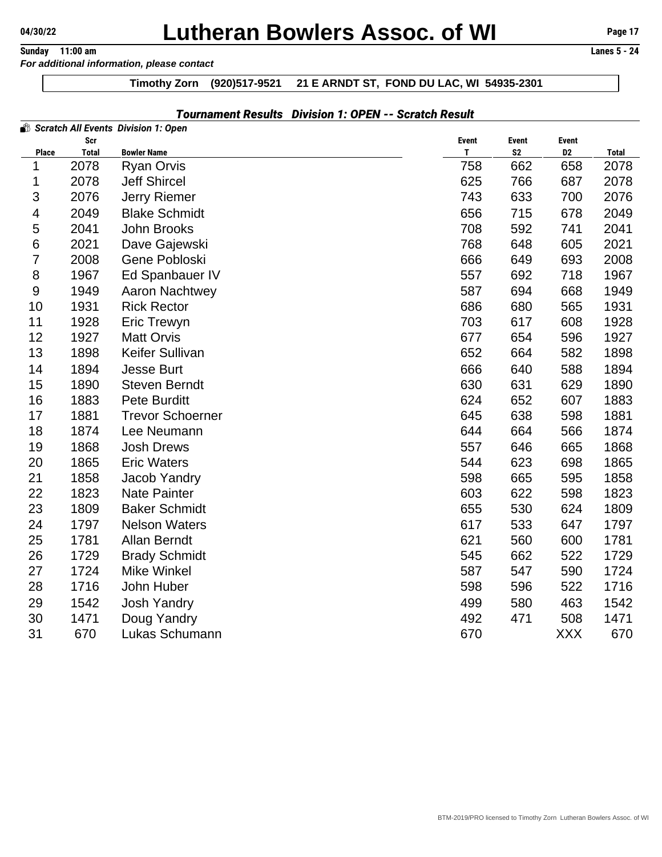# **Lutheran Bowlers Assoc. of WI** Page 17<br> **Sunday** 11:00 am<br> **Lanes 5 - 24**

**Sunday** 11:00 am *For additional information, please contact*

## **Timothy Zorn (920)517-9521 21 E ARNDT ST, FOND DU LAC, WI 54935-2301**

## *Tournament Results Division 1: OPEN -- Scratch Result*

|                |                     | Scratch All Events Division 1: Open |                   |                                |                         |              |
|----------------|---------------------|-------------------------------------|-------------------|--------------------------------|-------------------------|--------------|
| <b>Place</b>   | Scr<br><b>Total</b> | <b>Bowler Name</b>                  | <b>Event</b><br>T | <b>Event</b><br>S <sub>2</sub> | Event<br>D <sub>2</sub> | <b>Total</b> |
| 1              | 2078                | <b>Ryan Orvis</b>                   | 758               | 662                            | 658                     | 2078         |
| 1              | 2078                | <b>Jeff Shircel</b>                 | 625               | 766                            | 687                     | 2078         |
| 3              | 2076                | <b>Jerry Riemer</b>                 | 743               | 633                            | 700                     | 2076         |
| 4              | 2049                | <b>Blake Schmidt</b>                | 656               | 715                            | 678                     | 2049         |
| 5              | 2041                | John Brooks                         | 708               | 592                            | 741                     | 2041         |
| $\,6$          | 2021                | Dave Gajewski                       | 768               | 648                            | 605                     | 2021         |
| $\overline{7}$ | 2008                | Gene Pobloski                       | 666               | 649                            | 693                     | 2008         |
| $\,8\,$        | 1967                | Ed Spanbauer IV                     | 557               | 692                            | 718                     | 1967         |
| $\overline{9}$ | 1949                | <b>Aaron Nachtwey</b>               | 587               | 694                            | 668                     | 1949         |
| 10             | 1931                | <b>Rick Rector</b>                  | 686               | 680                            | 565                     | 1931         |
| 11             | 1928                | <b>Eric Trewyn</b>                  | 703               | 617                            | 608                     | 1928         |
| 12             | 1927                | <b>Matt Orvis</b>                   | 677               | 654                            | 596                     | 1927         |
| 13             | 1898                | Keifer Sullivan                     | 652               | 664                            | 582                     | 1898         |
| 14             | 1894                | <b>Jesse Burt</b>                   | 666               | 640                            | 588                     | 1894         |
| 15             | 1890                | <b>Steven Berndt</b>                | 630               | 631                            | 629                     | 1890         |
| 16             | 1883                | <b>Pete Burditt</b>                 | 624               | 652                            | 607                     | 1883         |
| 17             | 1881                | <b>Trevor Schoerner</b>             | 645               | 638                            | 598                     | 1881         |
| 18             | 1874                | Lee Neumann                         | 644               | 664                            | 566                     | 1874         |
| 19             | 1868                | <b>Josh Drews</b>                   | 557               | 646                            | 665                     | 1868         |
| 20             | 1865                | <b>Eric Waters</b>                  | 544               | 623                            | 698                     | 1865         |
| 21             | 1858                | <b>Jacob Yandry</b>                 | 598               | 665                            | 595                     | 1858         |
| 22             | 1823                | <b>Nate Painter</b>                 | 603               | 622                            | 598                     | 1823         |
| 23             | 1809                | <b>Baker Schmidt</b>                | 655               | 530                            | 624                     | 1809         |
| 24             | 1797                | <b>Nelson Waters</b>                | 617               | 533                            | 647                     | 1797         |
| 25             | 1781                | <b>Allan Berndt</b>                 | 621               | 560                            | 600                     | 1781         |
| 26             | 1729                | <b>Brady Schmidt</b>                | 545               | 662                            | 522                     | 1729         |
| 27             | 1724                | <b>Mike Winkel</b>                  | 587               | 547                            | 590                     | 1724         |
| 28             | 1716                | John Huber                          | 598               | 596                            | 522                     | 1716         |
| 29             | 1542                | <b>Josh Yandry</b>                  | 499               | 580                            | 463                     | 1542         |
| 30             | 1471                | Doug Yandry                         | 492               | 471                            | 508                     | 1471         |
| 31             | 670                 | Lukas Schumann                      | 670               |                                | <b>XXX</b>              | 670          |